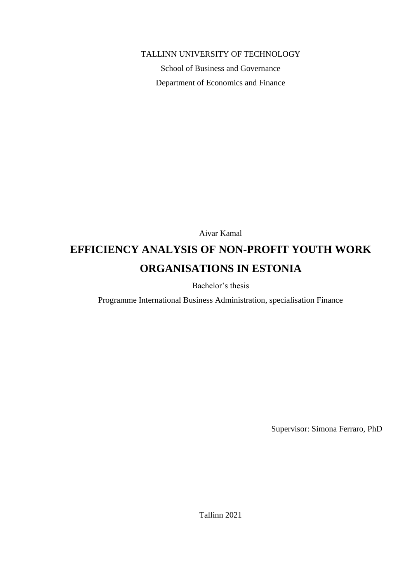#### TALLINN UNIVERSITY OF TECHNOLOGY

School of Business and Governance Department of Economics and Finance

Aivar Kamal

# **EFFICIENCY ANALYSIS OF NON-PROFIT YOUTH WORK ORGANISATIONS IN ESTONIA**

Bachelor's thesis

Programme International Business Administration, specialisation Finance

Supervisor: Simona Ferraro, PhD

Tallinn 2021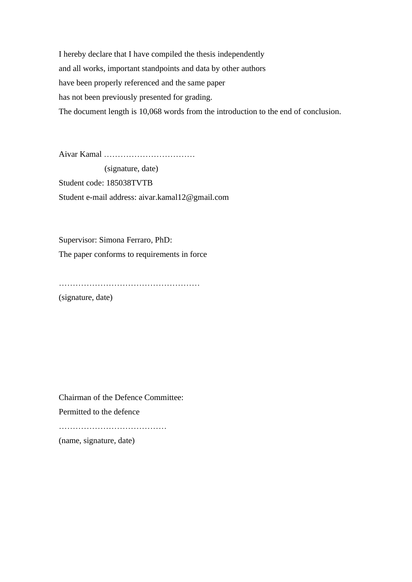I hereby declare that I have compiled the thesis independently and all works, important standpoints and data by other authors have been properly referenced and the same paper has not been previously presented for grading. The document length is 10,068 words from the introduction to the end of conclusion.

Aivar Kamal ……………………………

 (signature, date) Student code: 185038TVTB Student e-mail address: aivar.kamal12@gmail.com

Supervisor: Simona Ferraro, PhD: The paper conforms to requirements in force

…………………………………………… (signature, date)

Chairman of the Defence Committee: Permitted to the defence …………………………………

(name, signature, date)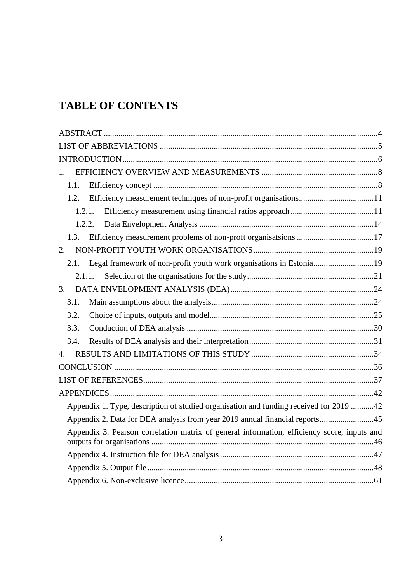# **TABLE OF CONTENTS**

| 1.                                                                                          |
|---------------------------------------------------------------------------------------------|
| 1.1.                                                                                        |
| 1.2.                                                                                        |
| 1.2.1.                                                                                      |
| 1.2.2.                                                                                      |
| 1.3.                                                                                        |
| 2.                                                                                          |
| Legal framework of non-profit youth work organisations in Estonia19<br>2.1.                 |
| 2.1.1.                                                                                      |
| $\overline{3}$ .                                                                            |
| 3.1.                                                                                        |
| 3.2.                                                                                        |
| 3.3.                                                                                        |
| 3.4.                                                                                        |
| 4.                                                                                          |
|                                                                                             |
|                                                                                             |
|                                                                                             |
| Appendix 1. Type, description of studied organisation and funding received for 2019 42      |
| Appendix 2. Data for DEA analysis from year 2019 annual financial reports45                 |
| Appendix 3. Pearson correlation matrix of general information, efficiency score, inputs and |
|                                                                                             |
|                                                                                             |
|                                                                                             |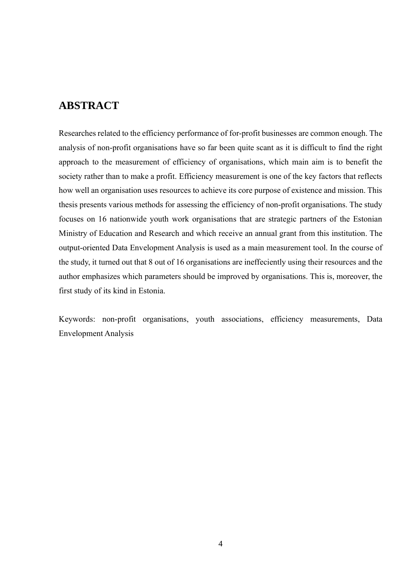# <span id="page-3-0"></span>**ABSTRACT**

Researches related to the efficiency performance of for-profit businesses are common enough. The analysis of non-profit organisations have so far been quite scant as it is difficult to find the right approach to the measurement of efficiency of organisations, which main aim is to benefit the society rather than to make a profit. Efficiency measurement is one of the key factors that reflects how well an organisation uses resources to achieve its core purpose of existence and mission. This thesis presents various methods for assessing the efficiency of non-profit organisations. The study focuses on 16 nationwide youth work organisations that are strategic partners of the Estonian Ministry of Education and Research and which receive an annual grant from this institution. The output-oriented Data Envelopment Analysis is used as a main measurement tool. In the course of the study, it turned out that 8 out of 16 organisations are ineffeciently using their resources and the author emphasizes which parameters should be improved by organisations. This is, moreover, the first study of its kind in Estonia.

Keywords: non-profit organisations, youth associations, efficiency measurements, Data Envelopment Analysis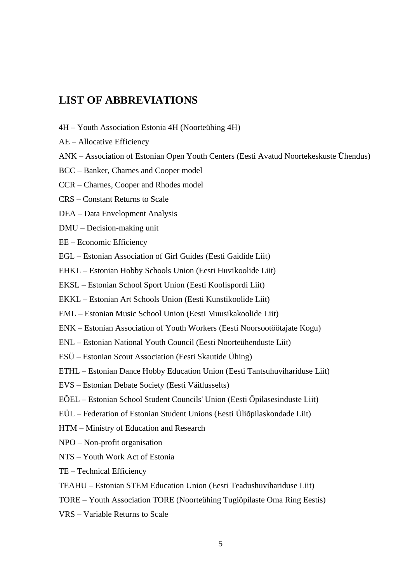# <span id="page-4-0"></span>**LIST OF ABBREVIATIONS**

- 4H Youth Association Estonia 4H (Noorteühing 4H)
- AE Allocative Efficiency
- ANK Association of Estonian Open Youth Centers (Eesti Avatud Noortekeskuste Ühendus)
- BCC Banker, Charnes and Cooper model
- CCR Charnes, Cooper and Rhodes model
- CRS Constant Returns to Scale
- DEA Data Envelopment Analysis
- DMU Decision-making unit
- EE Economic Efficiency
- EGL Estonian Association of Girl Guides (Eesti Gaidide Liit)
- EHKL Estonian Hobby Schools Union (Eesti Huvikoolide Liit)
- EKSL Estonian School Sport Union (Eesti Koolispordi Liit)
- EKKL Estonian Art Schools Union (Eesti Kunstikoolide Liit)
- EML Estonian Music School Union (Eesti Muusikakoolide Liit)
- ENK Estonian Association of Youth Workers (Eesti Noorsootöötajate Kogu)
- ENL Estonian National Youth Council (Eesti Noorteühenduste Liit)
- ESÜ Estonian Scout Association (Eesti Skautide Ühing)
- ETHL Estonian Dance Hobby Education Union (Eesti Tantsuhuvihariduse Liit)
- EVS Estonian Debate Society (Eesti Väitlusselts)
- EÕEL Estonian School Student Councils' Union (Eesti Õpilasesinduste Liit)
- EÜL Federation of Estonian Student Unions (Eesti Üliõpilaskondade Liit)
- HTM Ministry of Education and Research
- NPO Non-profit organisation
- NTS Youth Work Act of Estonia
- TE Technical Efficiency
- TEAHU Estonian STEM Education Union (Eesti Teadushuvihariduse Liit)
- TORE Youth Association TORE (Noorteühing Tugiõpilaste Oma Ring Eestis)
- VRS Variable Returns to Scale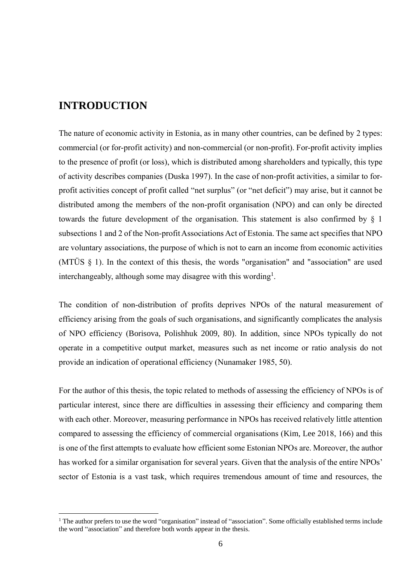# <span id="page-5-0"></span>**INTRODUCTION**

The nature of economic activity in Estonia, as in many other countries, can be defined by 2 types: commercial (or for-profit activity) and non-commercial (or non-profit). For-profit activity implies to the presence of profit (or loss), which is distributed among shareholders and typically, this type of activity describes companies (Duska 1997). In the case of non-profit activities, a similar to forprofit activities сoncept of profit called "net surplus" (or "net deficit") may arise, but it cannot be distributed among the members of the non-profit organisation (NPO) and can only be directed towards the future development of the organisation. This statement is also confirmed by § 1 subsections 1 and 2 of the Non-profit Associations Act of Estonia. The same act specifies that NPO are voluntary associations, the purpose of which is not to earn an income from economic activities (MTÜS § 1). In the context of this thesis, the words "organisation" and "association" are used interchangeably, although some may disagree with this wording<sup>1</sup>.

The condition of non-distribution of profits deprives NPOs of the natural measurement of efficiency arising from the goals of such organisations, and significantly complicates the analysis of NPO efficiency (Borisova, Polishhuk 2009, 80). In addition, since NPOs typically do not operate in a competitive output market, measures such as net income or ratio analysis do not provide an indication of operational efficiency (Nunamaker 1985, 50).

For the author of this thesis, the topic related to methods of assessing the efficiency of NPOs is of particular interest, since there are difficulties in assessing their efficiency and comparing them with each other. Moreover, measuring performance in NPOs has received relatively little attention compared to assessing the efficiency of commercial organisations (Kim, Lee 2018, 166) and this is one of the first attempts to evaluate how efficient some Estonian NPOs are. Moreover, the author has worked for a similar organisation for several years. Given that the analysis of the entire NPOs' sector of Estonia is a vast task, which requires tremendous amount of time and resources, the

<sup>&</sup>lt;sup>1</sup> The author prefers to use the word "organisation" instead of "association". Some officially established terms include the word "association" and therefore both words appear in the thesis.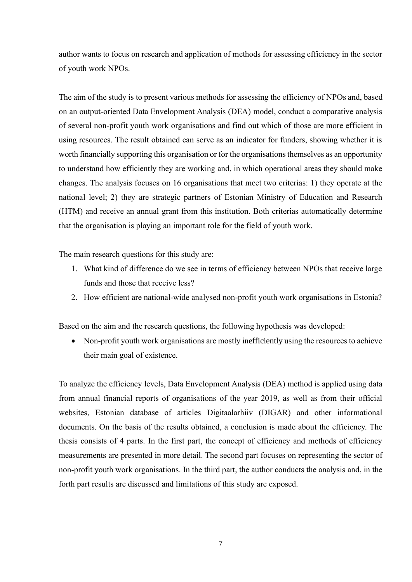author wants to focus on research and application of methods for assessing efficiency in the sector of youth work NPOs.

The aim of the study is to present various methods for assessing the efficiency of NPOs and, based on an output-oriented Data Envelopment Analysis (DEA) model, conduct a comparative analysis of several non-profit youth work organisations and find out which of those are more efficient in using resources. The result obtained can serve as an indicator for funders, showing whether it is worth financially supporting this organisation or for the organisations themselves as an opportunity to understand how efficiently they are working and, in which operational areas they should make changes. The analysis focuses on 16 organisations that meet two criterias: 1) they operate at the national level; 2) they are strategic partners of Estonian Ministry of Education and Research (HTM) and receive an annual grant from this institution. Both criterias automatically determine that the organisation is playing an important role for the field of youth work.

The main research questions for this study are:

- 1. What kind of difference do we see in terms of efficiency between NPOs that receive large funds and those that receive less?
- 2. How efficient are national-wide analysed non-profit youth work organisations in Estonia?

Based on the aim and the research questions, the following hypothesis was developed:

• Non-profit youth work organisations are mostly inefficiently using the resources to achieve their main goal of existence.

To analyze the efficiency levels, Data Envelopment Analysis (DEA) method is applied using data from annual financial reports of organisations of the year 2019, as well as from their official websites, Estonian database of articles Digitaalarhiiv (DIGAR) and other informational documents. On the basis of the results obtained, a conclusion is made about the efficiency. The thesis consists of 4 parts. In the first part, the concept of efficiency and methods of efficiency measurements are presented in more detail. The second part focuses on representing the sector of non-profit youth work organisations. In the third part, the author conducts the analysis and, in the forth part results are discussed and limitations of this study are exposed.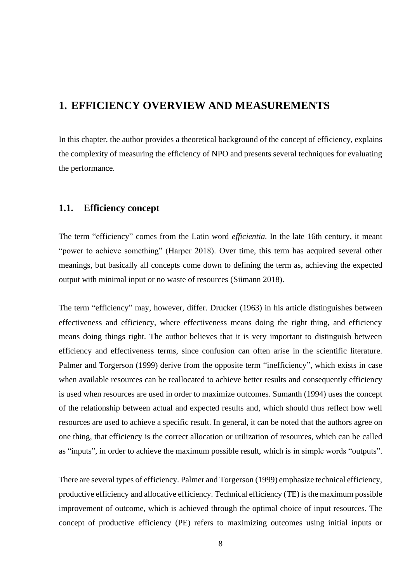# <span id="page-7-0"></span>**1. EFFICIENCY OVERVIEW AND MEASUREMENTS**

In this chapter, the author provides a theoretical background of the concept of efficiency, explains the complexity of measuring the efficiency of NPO and presents several techniques for evaluating the performance.

#### <span id="page-7-1"></span>**1.1. Efficiency concept**

The term "efficiency" comes from the Latin word *efficientia.* In the late 16th century, it meant "power to achieve something" (Harper 2018). Over time, this term has acquired several other meanings, but basically all concepts come down to defining the term as, achieving the expected output with minimal input or no waste of resources (Siimann 2018).

The term "efficiency" may, however, differ. Drucker (1963) in his article distinguishes between effectiveness and efficiency, where effectiveness means doing the right thing, and efficiency means doing things right. The author believes that it is very important to distinguish between efficiency and effectiveness terms, since confusion can often arise in the scientific literature. Palmer and Torgerson (1999) derive from the opposite term "inefficiency", which exists in case when available resources can be reallocated to achieve better results and consequently efficiency is used when resources are used in order to maximize outcomes. Sumanth (1994) uses the concept of the relationship between actual and expected results and, which should thus reflect how well resources are used to achieve a specific result. In general, it can be noted that the authors agree on one thing, that efficiency is the correct allocation or utilization of resources, which can be called as "inputs", in order to achieve the maximum possible result, which is in simple words "outputs".

There are several types of efficiency. Palmer and Torgerson (1999) emphasize technical efficiency, productive efficiency and allocative efficiency. Technical efficiency (TE) is the maximum possible improvement of outcome, which is achieved through the optimal choice of input resources. The concept of productive efficiency (PE) refers to maximizing outcomes using initial inputs or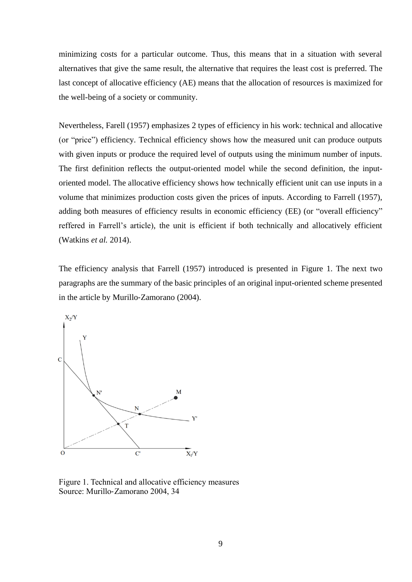minimizing costs for a particular outcome. Thus, this means that in a situation with several alternatives that give the same result, the alternative that requires the least cost is preferred. The last concept of allocative efficiency (AE) means that the allocation of resources is maximized for the well-being of a society or community.

Nevertheless, Farell (1957) emphasizes 2 types of efficiency in his work: technical and allocative (or "price") efficiency. Technical efficiency shows how the measured unit can produce outputs with given inputs or produce the required level of outputs using the minimum number of inputs. The first definition reflects the output-oriented model while the second definition, the inputoriented model. The allocative efficiency shows how technically efficient unit can use inputs in a volume that minimizes production costs given the prices of inputs. According to Farrell (1957), adding both measures of efficiency results in economic efficiency (EE) (or "overall efficiency" reffered in Farrell's article), the unit is efficient if both technically and allocatively efficient (Watkins *et al.* 2014).

The efficiency analysis that Farrell (1957) introduced is presented in Figure 1. The next two paragraphs are the summary of the basic principles of an original input-oriented scheme presented in the article by Murillo‐Zamorano (2004).



Figure 1. Technical and allocative efficiency measures Source: Murillo‐Zamorano 2004, 34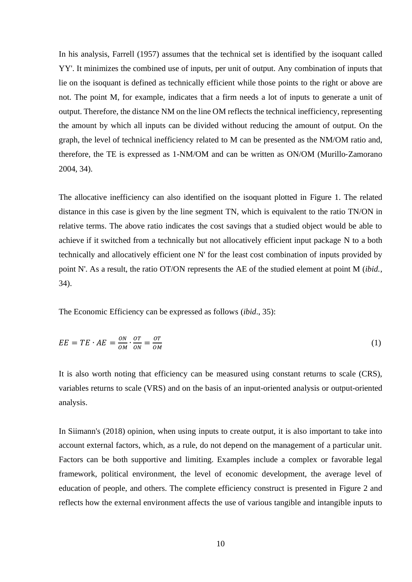In his analysis, Farrell (1957) assumes that the technical set is identified by the isoquant called YY'. It minimizes the combined use of inputs, per unit of output. Any combination of inputs that lie on the isoquant is defined as technically efficient while those points to the right or above are not. The point M, for example, indicates that a firm needs a lot of inputs to generate a unit of output. Therefore, the distance NM on the line OM reflects the technical inefficiency, representing the amount by which all inputs can be divided without reducing the amount of output. On the graph, the level of technical inefficiency related to M can be presented as the NM/OM ratio and, therefore, the TE is expressed as 1-NM/OM and can be written as ON/OM (Murillo‐Zamorano 2004, 34).

The allocative inefficiency can also identified on the isoquant plotted in Figure 1. The related distance in this case is given by the line segment TN, which is equivalent to the ratio TN/ON in relative terms. The above ratio indicates the cost savings that a studied object would be able to achieve if it switched from a technically but not allocatively efficient input package N to a both technically and allocatively efficient one N' for the least cost combination of inputs provided by point N'. As a result, the ratio OT/ON represents the AE of the studied element at point M (*ibid.*, 34).

The Economic Efficiency can be expressed as follows (*ibid*., 35):

$$
EE = TE \cdot AE = \frac{ON}{OM} \cdot \frac{OT}{ON} = \frac{OT}{OM}
$$
 (1)

It is also worth noting that efficiency can be measured using constant returns to scale (CRS), variables returns to scale (VRS) and on the basis of an input-oriented analysis or output-oriented analysis.

In Siimann's (2018) opinion, when using inputs to create output, it is also important to take into account external factors, which, as a rule, do not depend on the management of a particular unit. Factors can be both supportive and limiting. Examples include a complex or favorable legal framework, political environment, the level of economic development, the average level of education of people, and others. The complete efficiency construct is presented in Figure 2 and reflects how the external environment affects the use of various tangible and intangible inputs to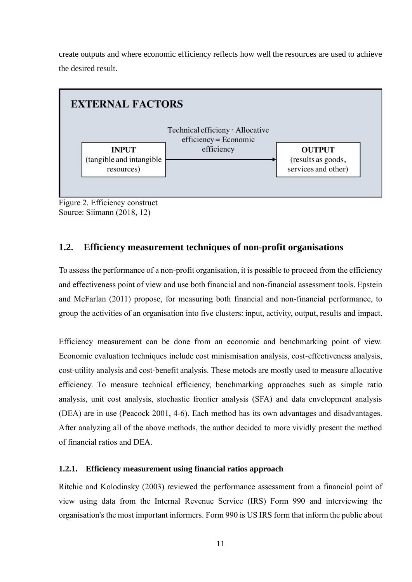create outputs and where economic efficiency reflects how well the resources are used to achieve the desired result.



<span id="page-10-0"></span>Figure 2. Efficiency construct Source: Siimann (2018, 12)

#### **1.2. Efficiency measurement techniques of non-profit organisations**

To assess the performance of a non-profit organisation, it is possible to proceed from the efficiency and effectiveness point of view and use both financial and non-financial assessment tools. Epstein and McFarlan (2011) propose, for measuring both financial and non-financial performance, to group the activities of an organisation into five clusters: input, activity, output, results and impact.

Efficiency measurement can be done from an economic and benchmarking point of view. Economic evaluation techniques include cost minismisation analysis, cost-effectiveness analysis, cost-utility analysis and cost-benefit analysis. These metods are mostly used to measure allocative efficiency. To measure technical efficiency, benchmarking approaches such as simple ratio analysis, unit cost analysis, stochastic frontier analysis (SFA) and data envelopment analysis (DEA) are in use (Peacock 2001, 4-6). Each method has its own advantages and disadvantages. After analyzing all of the above methods, the author decided to more vividly present the method of financial ratios and DEA.

#### <span id="page-10-1"></span>**1.2.1. Efficiency measurement using financial ratios approach**

Ritchie and Kolodinsky (2003) reviewed the performance assessment from a financial point of view using data from the Internal Revenue Service (IRS) Form 990 and interviewing the organisation's the most important informers. Form 990 is US IRS form that inform the public about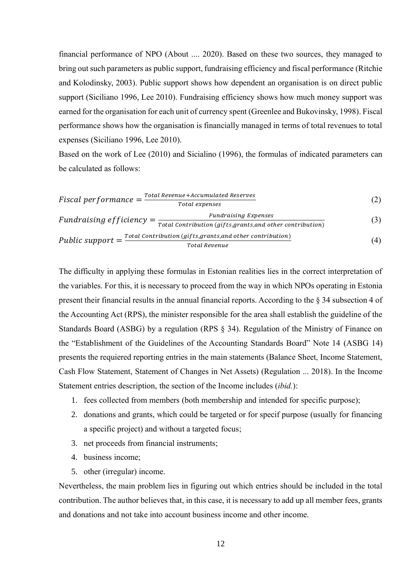financial performance of NPO (About .... 2020). Based on these two sources, they managed to bring out such parameters as public support, fundraising efficiency and fiscal performance (Ritchie and Kolodinsky, 2003). Public support shows how dependent an organisation is on direct public support (Siciliano 1996, Lee 2010). Fundraising efficiency shows how much money support was earned for the organisation for each unit of currency spent (Greenlee and Bukovinsky, 1998). Fiscal performance shows how the organisation is financially managed in terms of total revenues to total expenses (Siciliano 1996, Lee 2010).

Based on the work of Lee (2010) and Sicialino (1996), the formulas of indicated parameters can be calculated as follows:

$$
Fiscal performance = \frac{Total Revenue + accumulated Reserves}{Total expenses}
$$
 (2)

*Fundraising Efficiency* = 
$$
\frac{Fundraising Express}{Total contribution (gifts, grants, and other contribution)}
$$
(3)

$$
Public support = \frac{Total contribution (gifts, grants, and other contribution)}{Total Revenue}
$$
\n(4)

The difficulty in applying these formulas in Estonian realities lies in the correct interpretation of the variables. For this, it is necessary to proceed from the way in which NPOs operating in Estonia present their financial results in the annual financial reports. According to the § 34 subsection 4 of the Accounting Act (RPS), the minister responsible for the area shall establish the guideline of the Standards Board (ASBG) by a regulation (RPS § 34). Regulation of the Ministry of Finance on the "Establishment of the Guidelines of the Accounting Standards Board" Note 14 (ASBG 14) presents the requiered reporting entries in the main statements (Balance Sheet, Income Statement, Cash Flow Statement, Statement of Changes in Net Assets) (Regulation ... 2018). In the Income Statement entries description, the section of the Income includes (*ibid.*):

- 1. fees collected from members (both membership and intended for specific purpose);
- 2. donations and grants, which could be targeted or for specif purpose (usually for financing a specific project) and without a targeted focus;
- 3. net proceeds from financial instruments;
- 4. business income;
- 5. other (irregular) income.

Nevertheless, the main problem lies in figuring out which entries should be included in the total contribution. The author believes that, in this case, it is necessary to add up all member fees, grants and donations and not take into account business income and other income.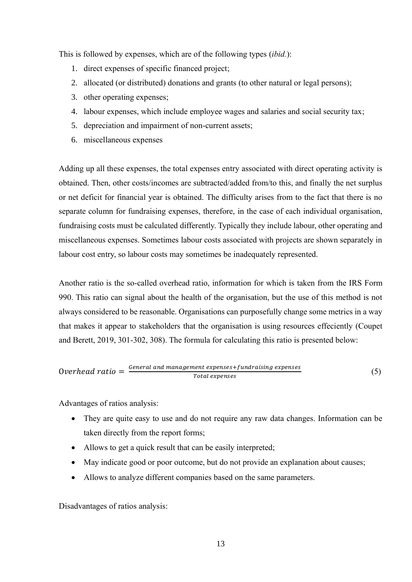This is followed by expenses, which are of the following types (*ibid.*):

- 1. direct expenses of specific financed project;
- 2. allocated (or distributed) donations and grants (to other natural or legal persons);
- 3. other operating expenses;
- 4. labour expenses, which include employee wages and salaries and social security tax;
- 5. depreciation and impairment of non-current assets;
- 6. miscellaneous expenses

Adding up all these expenses, the total expenses entry associated with direct operating activity is obtained. Then, other costs/incomes are subtracted/added from/to this, and finally the net surplus or net deficit for financial year is obtained. The difficulty arises from to the fact that there is no separate column for fundraising expenses, therefore, in the case of each individual organisation, fundraising costs must be calculated differently. Typically they include labour, other operating and miscellaneous expenses. Sometimes labour costs associated with projects are shown separately in labour cost entry, so labour costs may sometimes be inadequately represented.

Another ratio is the so-called overhead ratio, information for which is taken from the IRS Form 990. This ratio can signal about the health of the organisation, but the use of this method is not always considered to be reasonable. Organisations can purposefully change some metrics in a way that makes it appear to stakeholders that the organisation is using resources effeciently (Coupet and Berett, 2019, 301-302, 308). The formula for calculating this ratio is presented below:

$$
Overhead ratio = \frac{General\ and\ management\ expenses + funding\ expenses}{Total\ expenses}
$$
 (5)

Advantages of ratios analysis:

- They are quite easy to use and do not require any raw data changes. Information can be taken directly from the report forms;
- Allows to get a quick result that can be easily interpreted;
- May indicate good or poor outcome, but do not provide an explanation about causes;
- Allows to analyze different companies based on the same parameters.

Disadvantages of ratios analysis: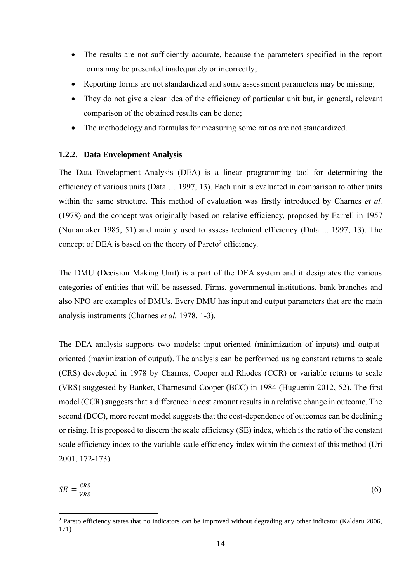- The results are not sufficiently accurate, because the parameters specified in the report forms may be presented inadequately or incorrectly;
- Reporting forms are not standardized and some assessment parameters may be missing;
- They do not give a clear idea of the efficiency of particular unit but, in general, relevant comparison of the obtained results can be done;
- The methodology and formulas for measuring some ratios are not standardized.

#### <span id="page-13-0"></span>**1.2.2. Data Envelopment Analysis**

The Data Envelopment Analysis (DEA) is a linear programming tool for determining the efficiency of various units (Data … 1997, 13). Each unit is evaluated in comparison to other units within the same structure. This method of evaluation was firstly introduced by Charnes *et al.* (1978) and the concept was originally based on relative efficiency, proposed by Farrell in 1957 (Nunamaker 1985, 51) and mainly used to assess technical efficiency (Data ... 1997, 13). The concept of DEA is based on the theory of Pareto<sup>2</sup> efficiency.

The DMU (Decision Making Unit) is a part of the DEA system and it designates the various categories of entities that will be assessed. Firms, governmental institutions, bank branches and also NPO are examples of DMUs. Every DMU has input and output parameters that are the main analysis instruments (Charnes *et al.* 1978, 1-3).

The DEA analysis supports two models: input-oriented (minimization of inputs) and outputoriented (maximization of output). The analysis can be performed using constant returns to scale (CRS) developed in 1978 by Charnes, Cooper and Rhodes (CCR) or variable returns to scale (VRS) suggested by Banker, Charnesand Cooper (BCC) in 1984 (Huguenin 2012, 52). The first model (CCR) suggests that a difference in cost amount results in a relative change in outcome. The second (BCC), more recent model suggests that the cost-dependence of outcomes can be declining or rising. It is proposed to discern the scale efficiency (SE) index, which is the ratio of the constant scale efficiency index to the variable scale efficiency index within the context of this method (Uri 2001, 172-173).

$$
SE = \frac{CRS}{VRS} \tag{6}
$$

<sup>2</sup> Pareto efficiency states that no indicators can be improved without degrading any other indicator (Kaldaru 2006, 171)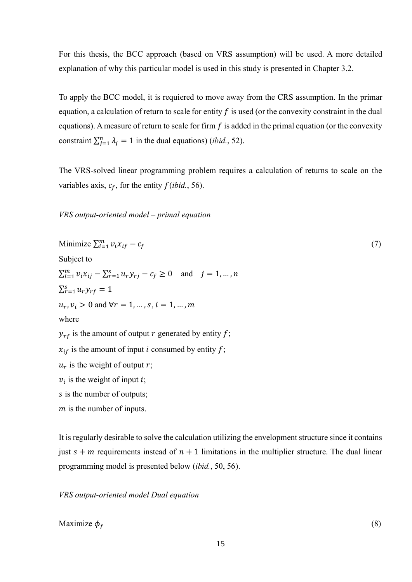For this thesis, the BCC approach (based on VRS assumption) will be used. A more detailed explanation of why this particular model is used in this study is presented in Chapter 3.2.

To apply the BCC model, it is requiered to move away from the CRS assumption. In the primar equation, a calculation of return to scale for entity  $f$  is used (or the convexity constraint in the dual equations). A measure of return to scale for firm  $f$  is added in the primal equation (or the convexity constraint  $\sum_{j=1}^{n} \lambda_j = 1$  in the dual equations) (*ibid.*, 52).

The VRS-solved linear programming problem requires a calculation of returns to scale on the variables axis,  $c_f$ , for the entity  $f(\text{ibid.}, 56)$ .

*VRS output-oriented model – primal equation*

Minimize 
$$
\sum_{i=1}^{m} v_i x_{if} - c_f
$$
  
\nSubject to  
\n $\sum_{i=1}^{m} v_i x_{ij} - \sum_{r=1}^{s} u_r y_{rj} - c_f \ge 0$  and  $j = 1, ..., n$   
\n $\sum_{r=1}^{s} u_r y_{rf} = 1$   
\n $u_r, v_i > 0$  and  $\forall r = 1, ..., s, i = 1, ..., m$   
\nwhere  
\n $y_{rf}$  is the amount of output *r* generated by entity *f*;  
\n $x_{if}$  is the amount of input *i* consumed by entity *f*;  
\n $u_r$  is the weight of output *r*;  
\n $v_i$  is the weight of input *i*;  
\n*s* is the number of outputs;  
\n*m* is the number of inputs.

It is regularly desirable to solve the calculation utilizing the envelopment structure since it contains just  $s + m$  requirements instead of  $n + 1$  limitations in the multiplier structure. The dual linear programming model is presented below (*ibid.*, 50, 56).

*VRS output-oriented model Dual equation*

Maximize  $\phi_f$  (8)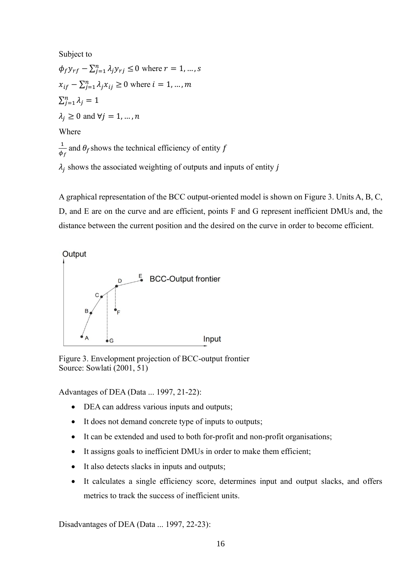Subject to  $\phi_f y_{rf} - \sum_{j=1}^n \lambda_j y_{rj} \leq 0$  where  $r = 1, ..., s$  $x_{if} - \sum_{j=1}^{n} \lambda_j x_{ij} \ge 0$  where  $i = 1, ..., m$  $\sum_{j=1}^n \lambda_j = 1$  $\lambda_i \geq 0$  and  $\forall j = 1, ..., n$ Where 1  $\frac{1}{\phi_f}$  and  $\theta_f$  shows the technical efficiency of entity f  $\lambda_j$  shows the associated weighting of outputs and inputs of entity  $j$ 

A graphical representation of the BCС output-oriented model is shown on Figure 3. Units A, B, C, D, and E are on the curve and are efficient, points F and G represent inefficient DMUs and, the distance between the current position and the desired on the curve in order to become efficient.



Figure 3. Envelopment projection of BCC-output frontier Source: Sowlati (2001, 51)

Advantages of DEA (Data ... 1997, 21-22):

- DEA can address various inputs and outputs;
- It does not demand concrete type of inputs to outputs;
- It can be extended and used to both for-profit and non-profit organisations;
- It assigns goals to inefficient DMUs in order to make them efficient;
- It also detects slacks in inputs and outputs;
- It calculates a single efficiency score, determines input and output slacks, and offers metrics to track the success of inefficient units.

Disadvantages of DEA (Data ... 1997, 22-23):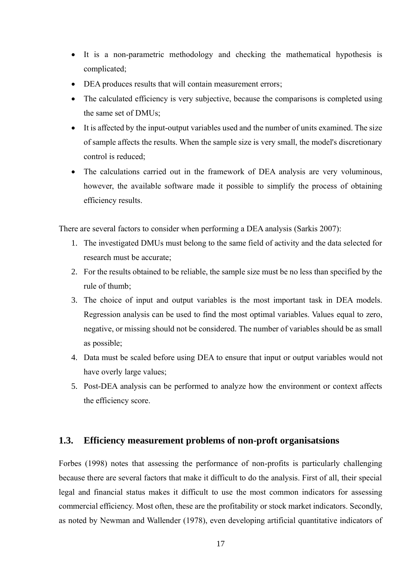- It is a non-parametric methodology and checking the mathematical hypothesis is complicated;
- DEA produces results that will contain measurement errors;
- The calculated efficiency is very subjective, because the comparisons is completed using the same set of DMUs;
- It is affected by the input-output variables used and the number of units examined. The size of sample affects the results. When the sample size is very small, the model's discretionary control is reduced;
- The calculations carried out in the framework of DEA analysis are very voluminous, however, the available software made it possible to simplify the process of obtaining efficiency results.

There are several factors to consider when performing a DEA analysis (Sarkis 2007):

- 1. The investigated DMUs must belong to the same field of activity and the data selected for research must be accurate;
- 2. For the results obtained to be reliable, the sample size must be no less than specified by the rule of thumb;
- 3. The choice of input and output variables is the most important task in DEA models. Regression analysis can be used to find the most optimal variables. Values equal to zero, negative, or missing should not be considered. The number of variables should be as small as possible;
- 4. Data must be scaled before using DEA to ensure that input or output variables would not have overly large values;
- 5. Post-DEA analysis can be performed to analyze how the environment or context affects the efficiency score.

#### <span id="page-16-0"></span>**1.3. Efficiency measurement problems of non-proft organisatsions**

Forbes (1998) notes that assessing the performance of non-profits is particularly challenging because there are several factors that make it difficult to do the analysis. First of all, their special legal and financial status makes it difficult to use the most common indicators for assessing commercial efficiency. Most often, these are the profitability or stock market indicators. Secondly, as noted by Newman and Wallender (1978), even developing artificial quantitative indicators of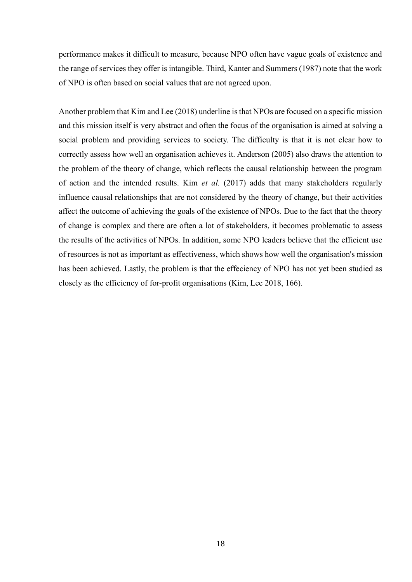performance makes it difficult to measure, because NPO often have vague goals of existence and the range of services they offer is intangible. Third, Kanter and Summers (1987) note that the work of NPO is often based on social values that are not agreed upon.

Another problem that Kim and Lee (2018) underline is that NPOs are focused on a specific mission and this mission itself is very abstract and often the focus of the organisation is aimed at solving a social problem and providing services to society. The difficulty is that it is not clear how to correctly assess how well an organisation achieves it. Anderson (2005) also draws the attention to the problem of the theory of change, which reflects the causal relationship between the program of action and the intended results. Kim *et al.* (2017) adds that many stakeholders regularly influence causal relationships that are not considered by the theory of change, but their activities affect the outcome of achieving the goals of the existence of NPOs. Due to the fact that the theory of change is complex and there are often a lot of stakeholders, it becomes problematic to assess the results of the activities of NPOs. In addition, some NPO leaders believe that the efficient use of resources is not as important as effectiveness, which shows how well the organisation's mission has been achieved. Lastly, the problem is that the effeciency of NPO has not yet been studied as closely as the efficiency of for-profit organisations (Kim, Lee 2018, 166).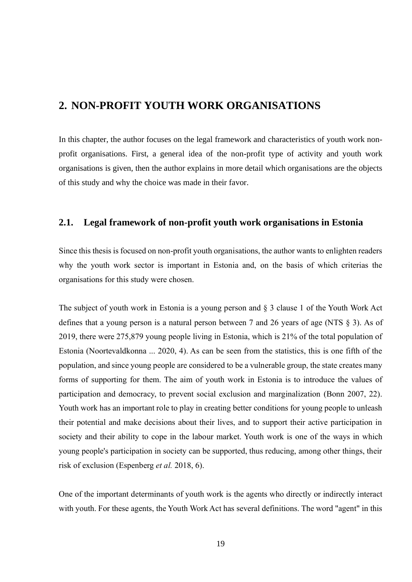# <span id="page-18-0"></span>**2. NON-PROFIT YOUTH WORK ORGANISATIONS**

In this chapter, the author focuses on the legal framework and characteristics of youth work nonprofit organisations. First, a general idea of the non-profit type of activity and youth work organisations is given, then the author explains in more detail which organisations are the objects of this study and why the choice was made in their favor.

#### <span id="page-18-1"></span>**2.1. Legal framework of non-profit youth work organisations in Estonia**

Since this thesis is focused on non-profit youth organisations, the author wants to enlighten readers why the youth work sector is important in Estonia and, on the basis of which criterias the organisations for this study were chosen.

The subject of youth work in Estonia is a young person and § 3 clause 1 of the Youth Work Act defines that a young person is a natural person between 7 and 26 years of age (NTS § 3). As of 2019, there were 275,879 young people living in Estonia, which is 21% of the total population of Estonia (Noortevaldkonna ... 2020, 4). As can be seen from the statistics, this is one fifth of the population, and since young people are considered to be a vulnerable group, the state creates many forms of supporting for them. The aim of youth work in Estonia is to introduce the values of participation and democracy, to prevent social exclusion and marginalization (Bonn 2007, 22). Youth work has an important role to play in creating better conditions for young people to unleash their potential and make decisions about their lives, and to support their active participation in society and their ability to cope in the labour market. Youth work is one of the ways in which young people's participation in society can be supported, thus reducing, among other things, their risk of exclusion (Espenberg *et al.* 2018, 6).

One of the important determinants of youth work is the agents who directly or indirectly interact with youth. For these agents, the Youth Work Act has several definitions. The word "agent" in this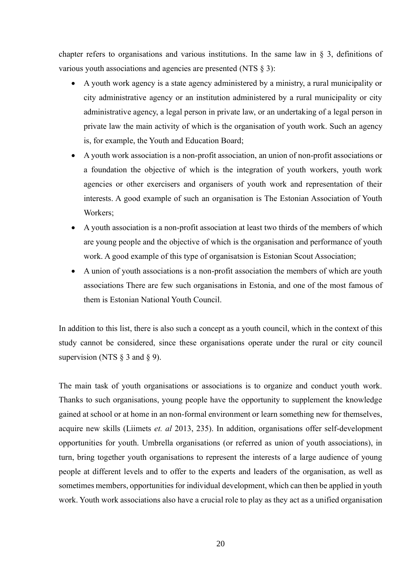chapter refers to organisations and various institutions. In the same law in § 3, definitions of various youth associations and agencies are presented (NTS § 3):

- A youth work agency is a state agency administered by a ministry, a rural municipality or city administrative agency or an institution administered by a rural municipality or city administrative agency, a legal person in private law, or an undertaking of a legal person in private law the main activity of which is the organisation of youth work. Such an agency is, for example, the Youth and Education Board;
- A youth work association is a non-profit association, an union of non-profit associations or a foundation the objective of which is the integration of youth workers, youth work agencies or other exercisers and organisers of youth work and representation of their interests. A good example of such an organisation is The Estonian Association of Youth Workers;
- A youth association is a non-profit association at least two thirds of the members of which are young people and the objective of which is the organisation and performance of youth work. A good example of this type of organisatsion is Estonian Scout Association;
- A union of youth associations is a non-profit association the members of which are youth associations There are few such organisations in Estonia, and one of the most famous of them is Estonian National Youth Council.

In addition to this list, there is also such a concept as a youth council, which in the context of this study cannot be considered, since these organisations operate under the rural or city council supervision (NTS  $\S$  3 and  $\S$  9).

The main task of youth organisations or associations is to organize and conduct youth work. Thanks to such organisations, young people have the opportunity to supplement the knowledge gained at school or at home in an non-formal environment or learn something new for themselves, acquire new skills (Liimets *et. al* 2013, 235). In addition, organisations offer self-development opportunities for youth. Umbrella organisations (or referred as union of youth associations), in turn, bring together youth organisations to represent the interests of a large audience of young people at different levels and to offer to the experts and leaders of the organisation, as well as sometimes members, opportunities for individual development, which can then be applied in youth work. Youth work associations also have a crucial role to play as they act as a unified organisation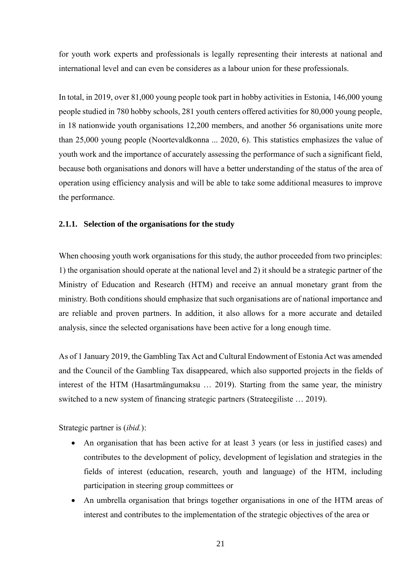for youth work experts and professionals is legally representing their interests at national and international level and can even be consideres as a labour union for these professionals.

In total, in 2019, over 81,000 young people took part in hobby activities in Estonia, 146,000 young people studied in 780 hobby schools, 281 youth centers offered activities for 80,000 young people, in 18 nationwide youth organisations 12,200 members, and another 56 organisations unite more than 25,000 young people (Noortevaldkonna ... 2020, 6). This statistics emphasizes the value of youth work and the importance of accurately assessing the performance of such a significant field, because both organisations and donors will have a better understanding of the status of the area of operation using efficiency analysis and will be able to take some additional measures to improve the performance.

#### <span id="page-20-0"></span>**2.1.1. Selection of the organisations for the study**

When choosing youth work organisations for this study, the author proceeded from two principles: 1) the organisation should operate at the national level and 2) it should be a strategic partner of the Ministry of Education and Research (HTM) and receive an annual monetary grant from the ministry. Both conditions should emphasize that such organisations are of national importance and are reliable and proven partners. In addition, it also allows for a more accurate and detailed analysis, since the selected organisations have been active for a long enough time.

As of 1 January 2019, the Gambling Tax Act and Cultural Endowment of Estonia Act was amended and the Council of the Gambling Tax disappeared, which also supported projects in the fields of interest of the HTM (Hasartmängumaksu … 2019). Starting from the same year, the ministry switched to a new system of financing strategic partners (Strateegiliste … 2019).

Strategic partner is (*ibid.*):

- An organisation that has been active for at least 3 years (or less in justified cases) and contributes to the development of policy, development of legislation and strategies in the fields of interest (education, research, youth and language) of the HTM, including participation in steering group committees or
- An umbrella organisation that brings together organisations in one of the HTM areas of interest and contributes to the implementation of the strategic objectives of the area or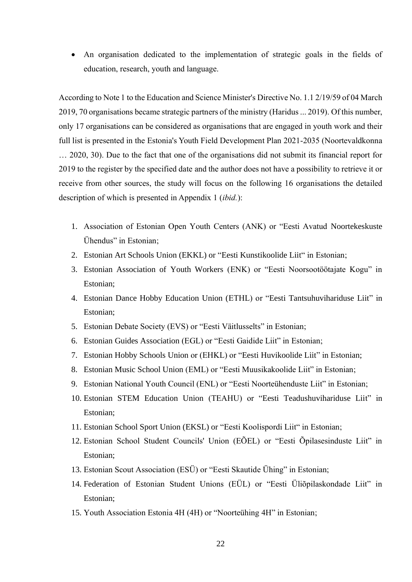• An organisation dedicated to the implementation of strategic goals in the fields of education, research, youth and language.

According to Note 1 to the Education and Science Minister's Directive No. 1.1 2/19/59 of 04 March 2019, 70 organisations became strategic partners of the ministry (Haridus ... 2019). Of this number, only 17 organisations can be considered as organisations that are engaged in youth work and their full list is presented in the Estonia's Youth Field Development Plan 2021-2035 (Noortevaldkonna … 2020, 30). Due to the fact that one of the organisations did not submit its financial report for 2019 to the register by the specified date and the author does not have a possibility to retrieve it or receive from other sources, the study will focus on the following 16 organisations the detailed description of which is presented in Appendix 1 (*ibid.*):

- 1. Association of Estonian Open Youth Centers (ANK) or "Eesti Avatud Noortekeskuste Ühendus" in Estonian;
- 2. Estonian Art Schools Union (EKKL) or "Eesti Kunstikoolide Liit" in Estonian;
- 3. Estonian Association of Youth Workers (ENK) or "Eesti Noorsootöötajate Kogu" in Estonian;
- 4. Estonian Dance Hobby Education Union (ETHL) or "Eesti Tantsuhuvihariduse Liit" in Estonian;
- 5. Estonian Debate Society (EVS) or "Eesti Väitlusselts" in Estonian;
- 6. Estonian Guides Association (EGL) or "Eesti Gaidide Liit" in Estonian;
- 7. Estonian Hobby Schools Union or (EHKL) or "Eesti Huvikoolide Liit" in Estonian;
- 8. Estonian Music School Union (EML) or "Eesti Muusikakoolide Liit" in Estonian;
- 9. Estonian National Youth Council (ENL) or "Eesti Noorteühenduste Liit" in Estonian;
- 10. Estonian STEM Education Union (TEAHU) or "Eesti Teadushuvihariduse Liit" in Estonian;
- 11. Estonian School Sport Union (EKSL) or "Eesti Koolispordi Liit" in Estonian;
- 12. Estonian School Student Councils' Union (EÕEL) or "Eesti Õpilasesinduste Liit" in Estonian;
- 13. Estonian Scout Association (ESÜ) or "Eesti Skautide Ühing" in Estonian;
- 14. Federation of Estonian Student Unions (EÜL) or "Eesti Üliõpilaskondade Liit" in Estonian;
- 15. Youth Association Estonia 4H (4H) or "Noorteühing 4H" in Estonian;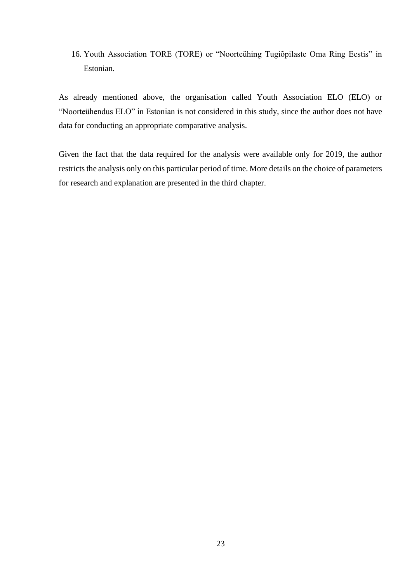16. Youth Association TORE (TORE) or "Noorteühing Tugiõpilaste Oma Ring Eestis" in Estonian.

As already mentioned above, the organisation called Youth Association ELO (ELO) or "Noorteühendus ELO" in Estonian is not considered in this study, since the author does not have data for conducting an appropriate comparative analysis.

Given the fact that the data required for the analysis were available only for 2019, the author restricts the analysis only on this particular period of time. More details on the choice of parameters for research and explanation are presented in the third chapter.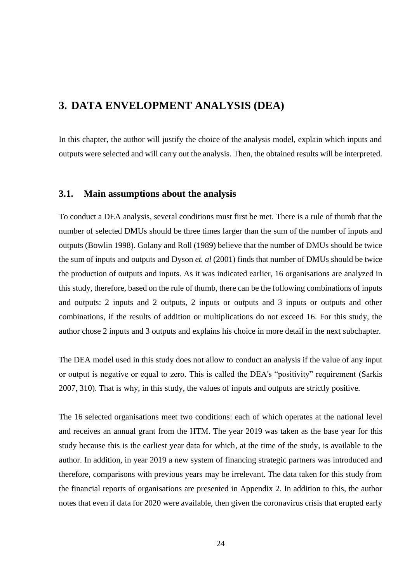# <span id="page-23-0"></span>**3. DATA ENVELOPMENT ANALYSIS (DEA)**

In this chapter, the author will justify the choice of the analysis model, explain which inputs and outputs were selected and will carry out the analysis. Then, the obtained results will be interpreted.

#### <span id="page-23-1"></span>**3.1. Main assumptions about the analysis**

To conduct a DEA analysis, several conditions must first be met. There is a rule of thumb that the number of selected DMUs should be three times larger than the sum of the number of inputs and outputs (Bowlin 1998). Golany and Roll (1989) believe that the number of DMUs should be twice the sum of inputs and outputs and Dyson *et. al* (2001) finds that number of DMUs should be twice the production of outputs and inputs. As it was indicated earlier, 16 organisations are analyzed in this study, therefore, based on the rule of thumb, there can be the following combinations of inputs and outputs: 2 inputs and 2 outputs, 2 inputs or outputs and 3 inputs or outputs and other combinations, if the results of addition or multiplications do not exceed 16. For this study, the author chose 2 inputs and 3 outputs and explains his choice in more detail in the next subchapter.

The DEA model used in this study does not allow to conduct an analysis if the value of any input or output is negative or equal to zero. This is called the DEA's "positivity" requirement (Sarkis 2007, 310). That is why, in this study, the values of inputs and outputs are strictly positive.

The 16 selected organisations meet two conditions: each of which operates at the national level and receives an annual grant from the HTM. The year 2019 was taken as the base year for this study because this is the earliest year data for which, at the time of the study, is available to the author. In addition, in year 2019 a new system of financing strategic partners was introduced and therefore, comparisons with previous years may be irrelevant. The data taken for this study from the financial reports of organisations are presented in Appendix 2. In addition to this, the author notes that even if data for 2020 were available, then given the coronavirus crisis that erupted early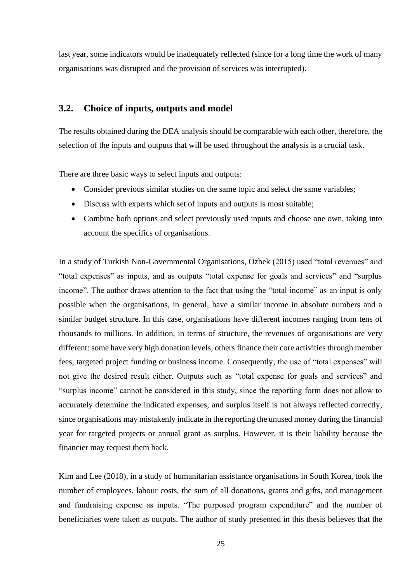last year, some indicators would be inadequately reflected (since for a long time the work of many organisations was disrupted and the provision of services was interrupted).

#### <span id="page-24-0"></span>**3.2. Choice of inputs, outputs and model**

The results obtained during the DEA analysis should be comparable with each other, therefore, the selection of the inputs and outputs that will be used throughout the analysis is a crucial task.

There are three basic ways to select inputs and outputs:

- Consider previous similar studies on the same topic and select the same variables;
- Discuss with experts which set of inputs and outputs is most suitable;
- Combine both options and select previously used inputs and choose one own, taking into account the specifics of organisations.

In a study of Turkish Non-Governmental Organisations, Özbek (2015) used "total revenues" and "total expenses" as inputs, and as outputs "total expense for goals and services" and "surplus income". The author draws attention to the fact that using the "total income" as an input is only possible when the organisations, in general, have a similar income in absolute numbers and a similar budget structure. In this case, organisations have different incomes ranging from tens of thousands to millions. In addition, in terms of structure, the revenues of organisations are very different: some have very high donation levels, others finance their core activities through member fees, targeted project funding or business income. Consequently, the use of "total expenses" will not give the desired result either. Outputs such as "total expense for goals and services" and "surplus income" cannot be considered in this study, since the reporting form does not allow to accurately determine the indicated expenses, and surplus itself is not always reflected correctly, since organisations may mistakenly indicate in the reporting the unused money during the financial year for targeted projects or annual grant as surplus. However, it is their liability because the financier may request them back.

Kim and Lee (2018), in a study of humanitarian assistance organisations in South Korea, took the number of employees, labour costs, the sum of all donations, grants and gifts, and management and fundraising expense as inputs. "The purposed program expenditure" and the number of beneficiaries were taken as outputs. The author of study presented in this thesis believes that the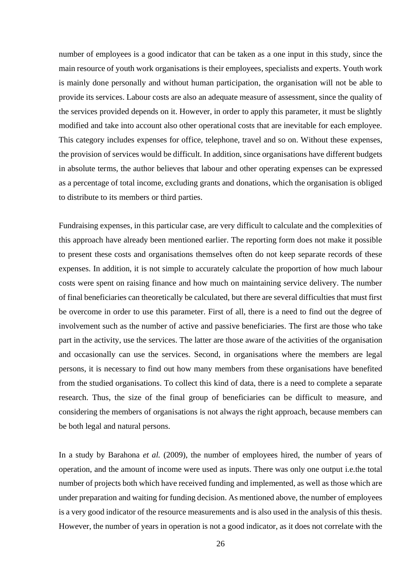number of employees is a good indicator that can be taken as a one input in this study, since the main resource of youth work organisations is their employees, specialists and experts. Youth work is mainly done personally and without human participation, the organisation will not be able to provide its services. Labour costs are also an adequate measure of assessment, since the quality of the services provided depends on it. However, in order to apply this parameter, it must be slightly modified and take into account also other operational costs that are inevitable for each employee. This category includes expenses for office, telephone, travel and so on. Without these expenses, the provision of services would be difficult. In addition, since organisations have different budgets in absolute terms, the author believes that labour and other operating expenses can be expressed as a percentage of total income, excluding grants and donations, which the organisation is obliged to distribute to its members or third parties.

Fundraising expenses, in this particular case, are very difficult to calculate and the complexities of this approach have already been mentioned earlier. The reporting form does not make it possible to present these costs and organisations themselves often do not keep separate records of these expenses. In addition, it is not simple to accurately calculate the proportion of how much labour costs were spent on raising finance and how much on maintaining service delivery. The number of final beneficiaries can theoretically be calculated, but there are several difficulties that must first be overcome in order to use this parameter. First of all, there is a need to find out the degree of involvement such as the number of active and passive beneficiaries. The first are those who take part in the activity, use the services. The latter are those aware of the activities of the organisation and occasionally can use the services. Second, in organisations where the members are legal persons, it is necessary to find out how many members from these organisations have benefited from the studied organisations. To collect this kind of data, there is a need to complete a separate research. Thus, the size of the final group of beneficiaries can be difficult to measure, and considering the members of organisations is not always the right approach, because members can be both legal and natural persons.

In a study by Barahona *et al.* (2009), the number of employees hired, the number of years of operation, and the amount of income were used as inputs. There was only one output i.e.the total number of projects both which have received funding and implemented, as well as those which are under preparation and waiting for funding decision. As mentioned above, the number of employees is a very good indicator of the resource measurements and is also used in the analysis of this thesis. However, the number of years in operation is not a good indicator, as it does not correlate with the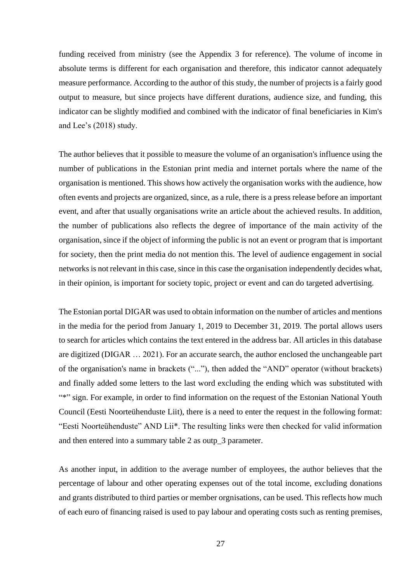funding received from ministry (see the Appendix 3 for reference). The volume of income in absolute terms is different for each organisation and therefore, this indicator cannot adequately measure performance. According to the author of this study, the number of projects is a fairly good output to measure, but since projects have different durations, audience size, and funding, this indicator can be slightly modified and combined with the indicator of final beneficiaries in Kim's and Lee's (2018) study.

The author believes that it possible to measure the volume of an organisation's influence using the number of publications in the Estonian print media and internet portals where the name of the organisation is mentioned. This shows how actively the organisation works with the audience, how often events and projects are organized, since, as a rule, there is a press release before an important event, and after that usually organisations write an article about the achieved results. In addition, the number of publications also reflects the degree of importance of the main activity of the organisation, since if the object of informing the public is not an event or program that is important for society, then the print media do not mention this. The level of audience engagement in social networks is not relevant in this case, since in this case the organisation independently decides what, in their opinion, is important for society topic, project or event and can do targeted advertising.

The Estonian portal DIGAR was used to obtain information on the number of articles and mentions in the media for the period from January 1, 2019 to December 31, 2019. The portal allows users to search for articles which contains the text entered in the address bar. All articles in this database are digitized (DIGAR … 2021). For an accurate search, the author enclosed the unchangeable part of the organisation's name in brackets ("..."), then added the "AND" operator (without brackets) and finally added some letters to the last word excluding the ending which was substituted with "\*" sign. For example, in order to find information on the request of the Estonian National Youth Council (Eesti Noorteühenduste Liit), there is a need to enter the request in the following format: "Eesti Noorteühenduste" AND Lii\*. The resulting links were then checked for valid information and then entered into a summary table 2 as outp\_3 parameter.

As another input, in addition to the average number of employees, the author believes that the percentage of labour and other operating expenses out of the total income, excluding donations and grants distributed to third parties or member orgnisations, can be used. This reflects how much of each euro of financing raised is used to pay labour and operating costs such as renting premises,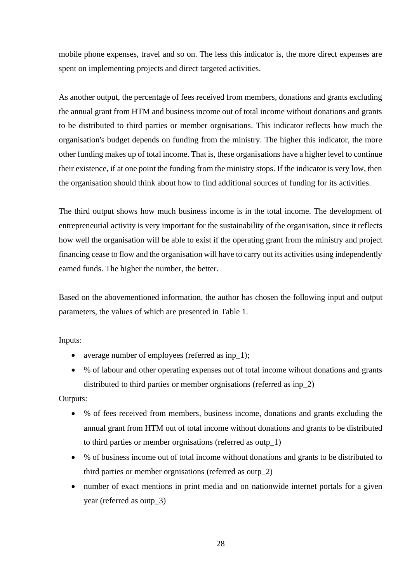mobile phone expenses, travel and so on. The less this indicator is, the more direct expenses are spent on implementing projects and direct targeted activities.

As another output, the percentage of fees received from members, donations and grants excluding the annual grant from HTM and business income out of total income without donations and grants to be distributed to third parties or member orgnisations. This indicator reflects how much the organisation's budget depends on funding from the ministry. The higher this indicator, the more other funding makes up of total income. That is, these organisations have a higher level to continue their existence, if at one point the funding from the ministry stops. If the indicator is very low, then the organisation should think about how to find additional sources of funding for its activities.

The third output shows how much business income is in the total income. The development of entrepreneurial activity is very important for the sustainability of the organisation, since it reflects how well the organisation will be able to exist if the operating grant from the ministry and project financing cease to flow and the organisation will have to carry out its activities using independently earned funds. The higher the number, the better.

Based on the abovementioned information, the author has chosen the following input and output parameters, the values of which are presented in Table 1.

Inputs:

- average number of employees (referred as inp\_1);
- % of labour and other operating expenses out of total income wihout donations and grants distributed to third parties or member orgnisations (referred as inp\_2)

Outputs:

- % of fees received from members, business income, donations and grants excluding the annual grant from HTM out of total income without donations and grants to be distributed to third parties or member orgnisations (referred as outp\_1)
- % of business income out of total income without donations and grants to be distributed to third parties or member orgnisations (referred as outp\_2)
- number of exact mentions in print media and on nationwide internet portals for a given year (referred as outp\_3)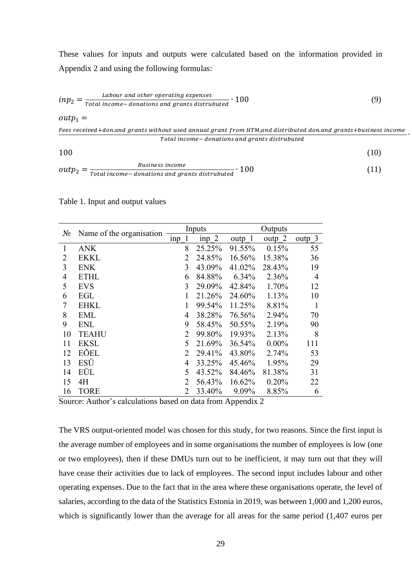These values for inputs and outputs were calculated based on the information provided in Appendix 2 and using the following formulas:

$$
inp_{2} = \frac{Laborur \ and \ other \ operating \ expenses}{Total \ income -\ .} \cdot 100
$$
 (9)

 $outp_1 =$ 

Fees received+don.and grants without used annual grant from HTM,and distributed don.and grants+business income Total income - donations and grants distrubuted

∙

 $100$  (10)

$$
outp_2 = \frac{Business\ income}{Total\ income-donations\ and\ grants\ distributed} \cdot 100
$$
\n(11)

Table 1. Input and output values

|                | $N_2$<br>Name of the organisation |              | Inputs  |        | Outputs  |                |
|----------------|-----------------------------------|--------------|---------|--------|----------|----------------|
|                |                                   |              | $inp$ 2 | outp 1 | outp 2   | outp 3         |
| 1              | <b>ANK</b>                        | 8            | 25.25%  | 91.55% | 0.15%    | 55             |
| 2              | <b>EKKL</b>                       | 2            | 24.85%  | 16.56% | 15.38%   | 36             |
| 3              | <b>ENK</b>                        | 3            | 43.09%  | 41.02% | 28.43%   | 19             |
| $\overline{4}$ | <b>ETHL</b>                       | 6            | 84.88%  | 6.34%  | 2.36%    | $\overline{4}$ |
| 5              | <b>EVS</b>                        | 3            | 29.09%  | 42.84% | 1.70%    | 12             |
| 6              | EGL                               | 1            | 21.26%  | 24.60% | 1.13%    | 10             |
| 7              | <b>EHKL</b>                       | $\mathbf{1}$ | 99.54%  | 11.25% | 8.81%    | 1              |
| 8              | EML                               | 4            | 38.28%  | 76.56% | 2.94%    | 70             |
| 9              | ENL                               | 9            | 58.45%  | 50.55% | 2.19%    | 90             |
| 10             | <b>TEAHU</b>                      | 2            | 99.80%  | 19.93% | 2.13%    | 8              |
| 11             | <b>EKSL</b>                       | 5            | 21.69%  | 36.54% | $0.00\%$ | 111            |
| 12             | EÕEL                              | 2            | 29.41%  | 43.80% | 2.74%    | 53             |
| 13             | ESÜ                               | 4            | 33.25%  | 45.46% | 1.95%    | 29             |
| 14             | EÜL                               | 5            | 43.52%  | 84.46% | 81.38%   | 31             |
| 15             | 4H                                | 2            | 56.43%  | 16.62% | 0.20%    | 22             |
| 16             | <b>TORE</b>                       | 2            | 33.40%  | 9.09%  | 8.85%    | 6              |

Source: Author's calculations based on data from Appendix 2

The VRS output-oriented model was chosen for this study, for two reasons. Since the first input is the average number of employees and in some organisations the number of employees is low (one or two employees), then if these DMUs turn out to be inefficient, it may turn out that they will have cease their activities due to lack of employees. The second input includes labour and other operating expenses. Due to the fact that in the area where these organisations operate, the level of salaries, according to the data of the Statistics Estonia in 2019, was between 1,000 and 1,200 euros, which is significantly lower than the average for all areas for the same period (1,407 euros per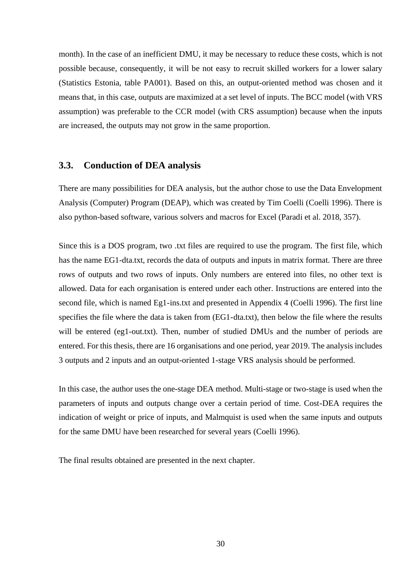month). In the case of an inefficient DMU, it may be necessary to reduce these costs, which is not possible because, consequently, it will be not easy to recruit skilled workers for a lower salary (Statistics Estonia, table PA001). Based on this, an output-oriented method was chosen and it means that, in this case, outputs are maximized at a set level of inputs. The BCC model (with VRS assumption) was preferable to the CCR model (with CRS assumption) because when the inputs are increased, the outputs may not grow in the same proportion.

#### <span id="page-29-0"></span>**3.3. Conduction of DEA analysis**

There are many possibilities for DEA analysis, but the author chose to use the Data Envelopment Analysis (Computer) Program (DEAP), which was created by Tim Coelli (Coelli 1996). There is also python-based software, various solvers and macros for Excel (Paradi et al. 2018, 357).

Since this is a DOS program, two .txt files are required to use the program. The first file, which has the name EG1-dta.txt, records the data of outputs and inputs in matrix format. There are three rows of outputs and two rows of inputs. Only numbers are entered into files, no other text is allowed. Data for each organisation is entered under each other. Instructions are entered into the second file, which is named Eg1-ins.txt and presented in Appendix 4 (Coelli 1996). The first line specifies the file where the data is taken from (EG1-dta.txt), then below the file where the results will be entered (eg1-out.txt). Then, number of studied DMUs and the number of periods are entered. For this thesis, there are 16 organisations and one period, year 2019. The analysis includes 3 outputs and 2 inputs and an output-oriented 1-stage VRS analysis should be performed.

In this case, the author uses the one-stage DEA method. Multi-stage or two-stage is used when the parameters of inputs and outputs change over a certain period of time. Cost-DEA requires the indication of weight or price of inputs, and Malmquist is used when the same inputs and outputs for the same DMU have been researched for several years (Coelli 1996).

The final results obtained are presented in the next chapter.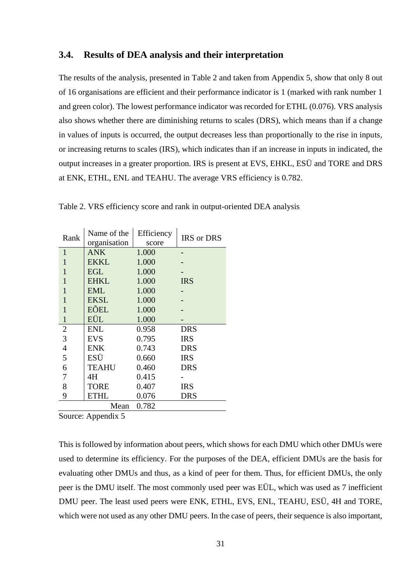#### <span id="page-30-0"></span>**3.4. Results of DEA analysis and their interpretation**

The results of the analysis, presented in Table 2 and taken from Appendix 5, show that only 8 out of 16 organisations are efficient and their performance indicator is 1 (marked with rank number 1 and green color). The lowest performance indicator was recorded for ETHL (0.076). VRS analysis also shows whether there are diminishing returns to scales (DRS), which means than if a change in values of inputs is occurred, the output decreases less than proportionally to the rise in inputs, or increasing returns to scales (IRS), which indicates than if an increase in inputs in indicated, the output increases in a greater proportion. IRS is present at EVS, EHKL, ESÜ and TORE and DRS at ENK, ETHL, ENL and TEAHU. The average VRS efficiency is 0.782.

| Rank           | Name of the<br>organisation | Efficiency<br>score | <b>IRS</b> or DRS |
|----------------|-----------------------------|---------------------|-------------------|
| 1              | <b>ANK</b>                  | 1.000               |                   |
| 1              | <b>EKKL</b>                 | 1.000               |                   |
| 1              | <b>EGL</b>                  | 1.000               |                   |
| 1              | <b>EHKL</b>                 | 1.000               | <b>IRS</b>        |
| 1              | <b>EML</b>                  | 1.000               |                   |
|                | <b>EKSL</b>                 | 1.000               |                   |
| 1              | EÕEL                        | 1.000               |                   |
| $\mathbf{1}$   | EÜL                         | 1.000               |                   |
| $\overline{2}$ | <b>ENL</b>                  | 0.958               | <b>DRS</b>        |
| 3              | <b>EVS</b>                  | 0.795               | <b>IRS</b>        |
| $\overline{4}$ | <b>ENK</b>                  | 0.743               | <b>DRS</b>        |
| 5              | ESÜ                         | 0.660               | <b>IRS</b>        |
| 6              | <b>TEAHU</b>                | 0.460               | <b>DRS</b>        |
| 7              | 4H                          | 0.415               |                   |
| 8              | TORE                        | 0.407               | IRS               |
| 9              | ETHL                        | 0.076               | DRS               |
|                | Mean                        | 0.782               |                   |

Table 2. VRS efficiency score and rank in output-oriented DEA analysis

Source: Appendix 5

This is followed by information about peers, which shows for each DMU which other DMUs were used to determine its efficiency. For the purposes of the DEA, efficient DMUs are the basis for evaluating other DMUs and thus, as a kind of peer for them. Thus, for efficient DMUs, the only peer is the DMU itself. The most commonly used peer was EÜL, which was used as 7 inefficient DMU peer. The least used peers were ENK, ETHL, EVS, ENL, TEAHU, ESÜ, 4H and TORE, which were not used as any other DMU peers. In the case of peers, their sequence is also important,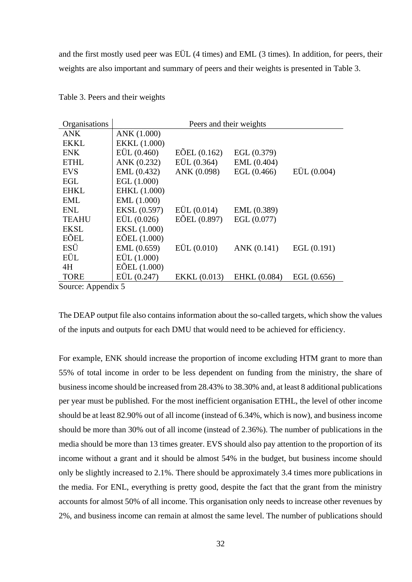and the first mostly used peer was EÜL (4 times) and EML (3 times). In addition, for peers, their weights are also important and summary of peers and their weights is presented in Table 3.

| Organisations                         |                       | Peers and their weights        |               |               |
|---------------------------------------|-----------------------|--------------------------------|---------------|---------------|
| <b>ANK</b>                            | ANK (1.000)           |                                |               |               |
| <b>EKKL</b>                           | EKKL (1.000)          |                                |               |               |
| <b>ENK</b>                            | EÜL (0.460)           | $E\tilde{\mathrm{O}}EL(0.162)$ | EGL (0.379)   |               |
| <b>ETHL</b>                           | ANK (0.232)           | EÜL (0.364)                    | EML (0.404)   |               |
| <b>EVS</b>                            | EML (0.432)           | ANK (0.098)                    | EGL (0.466)   | EÜL (0.004)   |
| EGL                                   | EGL $(1.000)$         |                                |               |               |
| <b>EHKL</b>                           | EHKL (1.000)          |                                |               |               |
| <b>EML</b>                            | EML $(1.000)$         |                                |               |               |
| <b>ENL</b>                            | EKSL (0.597)          | EÜL (0.014)                    | EML (0.389)   |               |
| <b>TEAHU</b>                          | EÜL (0.026)           | EÕEL (0.897)                   | EGL $(0.077)$ |               |
| <b>EKSL</b>                           | EKSL (1.000)          |                                |               |               |
| EÕEL                                  | $E\tilde{O}EL(1.000)$ |                                |               |               |
| ESÜ                                   | EML (0.659)           | EÜL (0.010)                    | ANK (0.141)   | EGL $(0.191)$ |
| EÜL                                   | EÜL(1.000)            |                                |               |               |
| 4H                                    | $E\tilde{O}EL(1.000)$ |                                |               |               |
| <b>TORE</b>                           | EÜL (0.247)           | <b>EKKL</b> (0.013)            | EHKL (0.084)  | EGL(0.656)    |
| $\mathcal{L}_{\text{out}}$ Annondiv 5 |                       |                                |               |               |

Table 3. Peers and their weights

Source: Appendix 5

The DEAP output file also contains information about the so-called targets, which show the values of the inputs and outputs for each DMU that would need to be achieved for efficiency.

For example, ENK should increase the proportion of income excluding HTM grant to more than 55% of total income in order to be less dependent on funding from the ministry, the share of business income should be increased from 28.43% to 38.30% and, at least 8 additional publications per year must be published. For the most inefficient organisation ETHL, the level of other income should be at least 82.90% out of all income (instead of 6.34%, which is now), and business income should be more than 30% out of all income (instead of 2.36%). The number of publications in the media should be more than 13 times greater. EVS should also pay attention to the proportion of its income without a grant and it should be almost 54% in the budget, but business income should only be slightly increased to 2.1%. There should be approximately 3.4 times more publications in the media. For ENL, everything is pretty good, despite the fact that the grant from the ministry accounts for almost 50% of all income. This organisation only needs to increase other revenues by 2%, and business income can remain at almost the same level. The number of publications should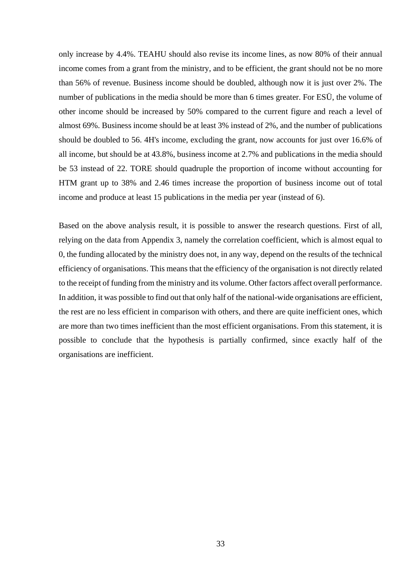only increase by 4.4%. TEAHU should also revise its income lines, as now 80% of their annual income comes from a grant from the ministry, and to be efficient, the grant should not be no more than 56% of revenue. Business income should be doubled, although now it is just over 2%. The number of publications in the media should be more than 6 times greater. For ESÜ, the volume of other income should be increased by 50% compared to the current figure and reach a level of almost 69%. Business income should be at least 3% instead of 2%, and the number of publications should be doubled to 56. 4H's income, excluding the grant, now accounts for just over 16.6% of all income, but should be at 43.8%, business income at 2.7% and publications in the media should be 53 instead of 22. TORE should quadruple the proportion of income without accounting for HTM grant up to 38% and 2.46 times increase the proportion of business income out of total income and produce at least 15 publications in the media per year (instead of 6).

Based on the above analysis result, it is possible to answer the research questions. First of all, relying on the data from Appendix 3, namely the correlation coefficient, which is almost equal to 0, the funding allocated by the ministry does not, in any way, depend on the results of the technical efficiency of organisations. This means that the efficiency of the organisation is not directly related to the receipt of funding from the ministry and its volume. Other factors affect overall performance. In addition, it was possible to find out that only half of the national-wide organisations are efficient, the rest are no less efficient in comparison with others, and there are quite inefficient ones, which are more than two times inefficient than the most efficient organisations. From this statement, it is possible to conclude that the hypothesis is partially confirmed, since exactly half of the organisations are inefficient.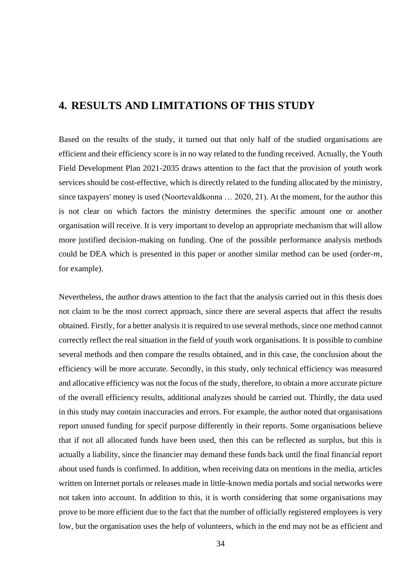# <span id="page-33-0"></span>**4. RESULTS AND LIMITATIONS OF THIS STUDY**

Based on the results of the study, it turned out that only half of the studied organisations are efficient and their efficiency score is in no way related to the funding received. Actually, the Youth Field Development Plan 2021-2035 draws attention to the fact that the provision of youth work services should be cost-effective, which is directly related to the funding allocated by the ministry, since taxpayers' money is used (Noortevaldkonna … 2020, 21). At the moment, for the author this is not clear on which factors the ministry determines the specific amount one or another organisation will receive. It is very important to develop an appropriate mechanism that will allow more justified decision-making on funding. One of the possible performance analysis methods could be DEA which is presented in this paper or another similar method can be used (order- $m$ , for example).

Nevertheless, the author draws attention to the fact that the analysis carried out in this thesis does not claim to be the most correct approach, since there are several aspects that affect the results obtained. Firstly, for a better analysis it is required to use several methods, since one method cannot correctly reflect the real situation in the field of youth work organisations. It is possible to combine several methods and then compare the results obtained, and in this case, the conclusion about the efficiency will be more accurate. Secondly, in this study, only technical efficiency was measured and allocative efficiency was not the focus of the study, therefore, to obtain a more accurate picture of the overall efficiency results, additional analyzes should be carried out. Thirdly, the data used in this study may contain inaccuracies and errors. For example, the author noted that organisations report unused funding for specif purpose differently in their reports. Some organisations believe that if not all allocated funds have been used, then this can be reflected as surplus, but this is actually a liability, since the financier may demand these funds back until the final financial report about used funds is confirmed. In addition, when receiving data on mentions in the media, articles written on Internet portals or releases made in little-known media portals and social networks were not taken into account. In addition to this, it is worth considering that some organisations may prove to be more efficient due to the fact that the number of officially registered employees is very low, but the organisation uses the help of volunteers, which in the end may not be as efficient and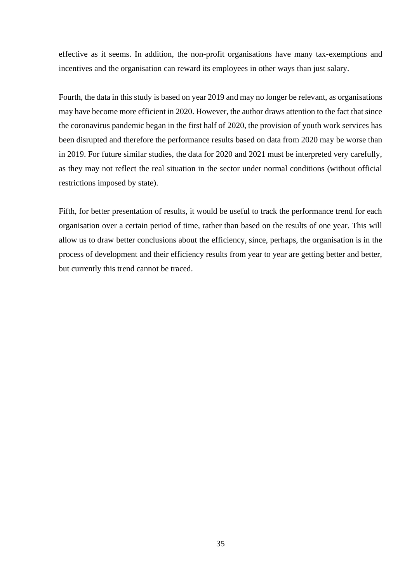effective as it seems. In addition, the non-profit organisations have many tax-exemptions and incentives and the organisation can reward its employees in other ways than just salary.

Fourth, the data in this study is based on year 2019 and may no longer be relevant, as organisations may have become more efficient in 2020. However, the author draws attention to the fact that since the coronavirus pandemic began in the first half of 2020, the provision of youth work services has been disrupted and therefore the performance results based on data from 2020 may be worse than in 2019. For future similar studies, the data for 2020 and 2021 must be interpreted very carefully, as they may not reflect the real situation in the sector under normal conditions (without official restrictions imposed by state).

Fifth, for better presentation of results, it would be useful to track the performance trend for each organisation over a certain period of time, rather than based on the results of one year. This will allow us to draw better conclusions about the efficiency, since, perhaps, the organisation is in the process of development and their efficiency results from year to year are getting better and better, but currently this trend cannot be traced.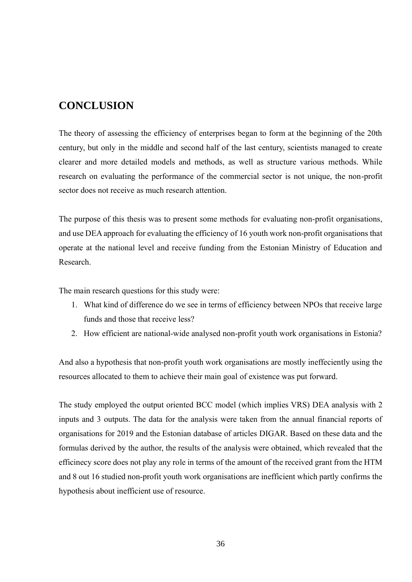# <span id="page-35-0"></span>**CONCLUSION**

The theory of assessing the efficiency of enterprises began to form at the beginning of the 20th century, but only in the middle and second half of the last century, scientists managed to create clearer and more detailed models and methods, as well as structure various methods. While research on evaluating the performance of the commercial sector is not unique, the non-profit sector does not receive as much research attention.

The purpose of this thesis was to present some methods for evaluating non-profit organisations, and use DEA approach for evaluating the efficiency of 16 youth work non-profit organisations that operate at the national level and receive funding from the Estonian Ministry of Education and Research.

The main research questions for this study were:

- 1. What kind of difference do we see in terms of efficiency between NPOs that receive large funds and those that receive less?
- 2. How efficient are national-wide analysed non-profit youth work organisations in Estonia?

And also a hypothesis that non-profit youth work organisations are mostly ineffeciently using the resources allocated to them to achieve their main goal of existence was put forward.

The study employed the output oriented BCC model (which implies VRS) DEA analysis with 2 inputs and 3 outputs. The data for the analysis were taken from the annual financial reports of organisations for 2019 and the Estonian database of articles DIGAR. Based on these data and the formulas derived by the author, the results of the analysis were obtained, which revealed that the efficinecy score does not play any role in terms of the amount of the received grant from the HTM and 8 out 16 studied non-profit youth work organisations are inefficient which partly confirms the hypothesis about inefficient use of resource.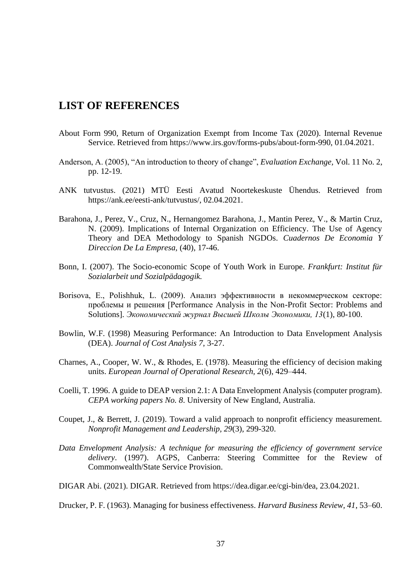# <span id="page-36-0"></span>**LIST OF REFERENCES**

- About Form 990, Return of Organization Exempt from Income Tax (2020). Internal Revenue Service. Retrieved from [https://www.irs.gov/forms-pubs/about-form-990,](https://www.irs.gov/forms-pubs/about-form-990) 01.04.2021.
- Anderson, A. (2005), "An introduction to theory of change", *Evaluation Exchange,* Vol. 11 No. 2, pp. 12-19.
- ANK tutvustus. (2021) MTÜ Eesti Avatud Noortekeskuste Ühendus. Retrieved from [https://ank.ee/eesti-ank/tutvustus/,](https://ank.ee/eesti-ank/tutvustus/) 02.04.2021.
- Barahona, J., Perez, V., Cruz, N., Hernangomez Barahona, J., Mantin Perez, V., & Martin Cruz, N. (2009). Implications of Internal Organization on Efficiency. The Use of Agency Theory and DEA Methodology to Spanish NGDOs. *Cuadernos De Economia Y Direccion De La Empresa,* (40), 17-46.
- Bonn, I. (2007). The Socio-economic Scope of Youth Work in Europe. *Frankfurt: Institut für Sozialarbeit und Sozialpädagogik.*
- Borisova, E., Polishhuk, L. (2009). Анализ эффективности в некоммерческом секторе: проблемы и решения [Performance Analysis in the Non-Profit Sector: Problems and Solutions]. *Экономический журнал Высшей Школы Экономики, 13*(1), 80-100.
- Bowlin, W.F. (1998) Measuring Performance: An Introduction to Data Envelopment Analysis (DEA). *Journal of Cost Analysis 7*, 3-27.
- Charnes, A., Cooper, W. W., & Rhodes, E. (1978). Measuring the efficiency of decision making units. *European Journal of Operational Research, 2*(6), 429–444.
- Coelli, T. 1996. A guide to DEAP version 2.1: A Data Envelopment Analysis (computer program). *CEPA working papers No. 8*. University of New England, Australia.
- Coupet, J., & Berrett, J. (2019). Toward a valid approach to nonprofit efficiency measurement. *Nonprofit Management and Leadership, 29*(3), 299-320.
- *Data Envelopment Analysis: A technique for measuring the efficiency of government service delivery*. (1997). AGPS, Canberra: Steering Committee for the Review of Commonwealth/State Service Provision.
- DIGAR Abi. (2021). DIGAR. Retrieved from [https://dea.digar.ee/cgi-bin/dea,](https://dea.digar.ee/cgi-bin/dea) 23.04.2021.

Drucker, P. F. (1963). Managing for business effectiveness. *Harvard Business Review, 41*, 53–60.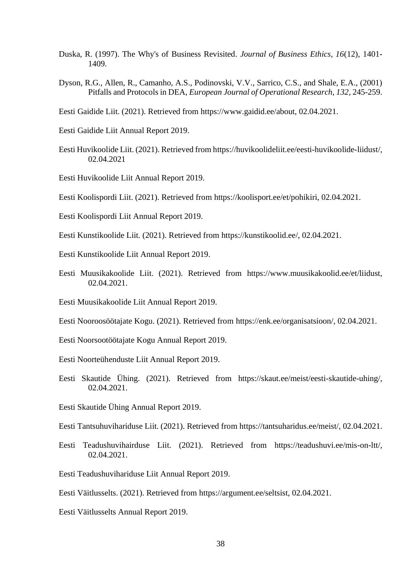- Duska, R. (1997). The Why's of Business Revisited. *Journal of Business Ethics, 16*(12), 1401- 1409.
- Dyson, R.G., Allen, R., Camanho, A.S., Podinovski, V.V., Sarrico, C.S., and Shale, E.A., (2001) Pitfalls and Protocols in DEA, *European Journal of Operational Research, 132*, 245-259.
- Eesti Gaidide Liit. (2021). Retrieved from [https://www.gaidid.ee/about,](https://www.gaidid.ee/about) 02.04.2021.
- Eesti Gaidide Liit Annual Report 2019.
- Eesti Huvikoolide Liit. (2021). Retrieved from [https://huvikoolideliit.ee/eesti-huvikoolide-liidust/,](https://huvikoolideliit.ee/eesti-huvikoolide-liidust/) 02.04.2021
- Eesti Huvikoolide Liit Annual Report 2019.

Eesti Koolispordi Liit. (2021). Retrieved from [https://koolisport.ee/et/pohikiri,](https://koolisport.ee/et/pohikiri) 02.04.2021.

- Eesti Koolispordi Liit Annual Report 2019.
- Eesti Kunstikoolide Liit. (2021). Retrieved from [https://kunstikoolid.ee/,](https://kunstikoolid.ee/) 02.04.2021.
- Eesti Kunstikoolide Liit Annual Report 2019.
- Eesti Muusikakoolide Liit. (2021). Retrieved from [https://www.muusikakoolid.ee/et/liidust,](https://www.muusikakoolid.ee/et/liidust) 02.04.2021.
- Eesti Muusikakoolide Liit Annual Report 2019.
- Eesti Nooroosöötajate Kogu. (2021). Retrieved from [https://enk.ee/organisatsioon/,](https://enk.ee/organisatsioon/) 02.04.2021.
- Eesti Noorsootöötajate Kogu Annual Report 2019.
- Eesti Noorteühenduste Liit Annual Report 2019.
- Eesti Skautide Ühing. (2021). Retrieved from [https://skaut.ee/meist/eesti-skautide-uhing/,](https://skaut.ee/meist/eesti-skautide-uhing/) 02.04.2021.
- Eesti Skautide Ühing Annual Report 2019.
- Eesti Tantsuhuvihariduse Liit. (2021). Retrieved from [https://tantsuharidus.ee/meist/,](https://tantsuharidus.ee/meist/) 02.04.2021.
- Eesti Teadushuvihairduse Liit. (2021). Retrieved from [https://teadushuvi.ee/mis-on-ltt/,](https://teadushuvi.ee/mis-on-ltt/) 02.04.2021.
- Eesti Teadushuvihariduse Liit Annual Report 2019.
- Eesti Väitlusselts. (2021). Retrieved from [https://argument.ee/seltsist,](https://argument.ee/seltsist) 02.04.2021.
- Eesti Väitlusselts Annual Report 2019.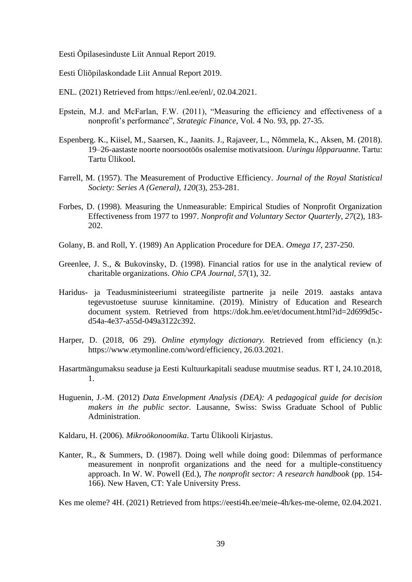Eesti Õpilasesinduste Liit Annual Report 2019.

- Eesti Üliõpilaskondade Liit Annual Report 2019.
- ENL. (2021) Retrieved from [https://enl.ee/enl/,](https://enl.ee/enl/) 02.04.2021.
- Epstein, M.J. and McFarlan, F.W. (2011), "Measuring the efficiency and effectiveness of a nonprofit's performance", *Strategic Finance*, Vol. 4 No. 93, pp. 27-35.
- Espenberg. K., Kiisel, M., Saarsen, K., Jaanits. J., Rajaveer, L., Nõmmela, K., Aksen, M. (2018). 19–26-aastaste noorte noorsootöös osalemise motivatsioon. *Uuringu lõpparuanne.* Tartu: Tartu Ülikool.
- Farrell, M. (1957). The Measurement of Productive Efficiency. *Journal of the Royal Statistical Society: Series A (General), 120*(3), 253-281.
- Forbes, D. (1998). Measuring the Unmeasurable: Empirical Studies of Nonprofit Organization Effectiveness from 1977 to 1997. *Nonprofit and Voluntary Sector Quarterly, 27*(2), 183- 202.
- Golany, B. and Roll, Y. (1989) An Application Procedure for DEA. *Omega 17*, 237-250.
- Greenlee, J. S., & Bukovinsky, D. (1998). Financial ratios for use in the analytical review of charitable organizations. *Ohio CPA Journal, 57*(1), 32.
- Haridus- ja Teadusministeeriumi strateegiliste partnerite ja neile 2019. aastaks antava tegevustoetuse suuruse kinnitamine. (2019). Ministry of Education and Research document system. Retrieved from https://dok.hm.ee/et/document.html?id=2d699d5cd54a-4e37-a55d-049a3122c392.
- Harper, D. (2018, 06 29). *Online etymylogy dictionary*. Retrieved from efficiency (n.): [https://www.etymonline.com/word/efficiency,](https://www.etymonline.com/word/efficiency) 26.03.2021.
- Hasartmängumaksu seaduse ja Eesti Kultuurkapitali seaduse muutmise seadus. RT I, 24.10.2018, 1.
- Huguenin, J.-M. (2012) *Data Envelopment Analysis (DEA): A pedagogical guide for decision makers in the public sector.* Lausanne, Swiss: Swiss Graduate School of Public Administration.
- Kaldaru, H. (2006). *Mikroökonoomika*. Tartu Ülikooli Kirjastus.
- Kanter, R., & Summers, D. (1987). Doing well while doing good: Dilemmas of performance measurement in nonprofit organizations and the need for a multiple-constituency approach. In W. W. Powell (Ed.), *The nonprofit sector: A research handbook* (pp. 154- 166). New Haven, CT: Yale University Press.

Kes me oleme? 4H. (2021) Retrieved from [https://eesti4h.ee/meie-4h/kes-me-oleme,](https://eesti4h.ee/meie-4h/kes-me-oleme) 02.04.2021.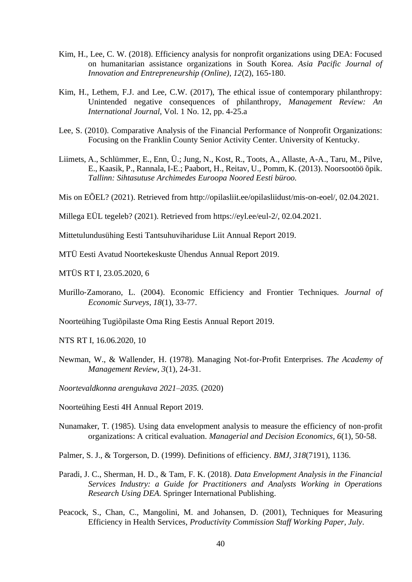- Kim, H., Lee, C. W. (2018). Efficiency analysis for nonprofit organizations using DEA: Focused on humanitarian assistance organizations in South Korea. *Asia Pacific Journal of Innovation and Entrepreneurship (Online), 12*(2), 165-180.
- Kim, H., Lethem, F.J. and Lee, C.W. (2017), The ethical issue of contemporary philanthropy: Unintended negative consequences of philanthropy, *Management Review: An International Journal*, Vol. 1 No. 12, pp. 4-25.a
- Lee, S. (2010). Comparative Analysis of the Financial Performance of Nonprofit Organizations: Focusing on the Franklin County Senior Activity Center. University of Kentucky.
- Liimets, A., Schlümmer, E., Enn, Ü.; Jung, N., Kost, R., Toots, A., Allaste, A-A., Taru, M., Pilve, E., Kaasik, P., Rannala, I-E.; Paabort, H., Reitav, U., Pomm, K. (2013). Noorsootöö õpik. *Tallinn: Sihtasutuse Archimedes Euroopa Noored Eesti büroo.*

Mis on EÕEL? (2021). Retrieved from [http://opilasliit.ee/opilasliidust/mis-on-eoel/,](http://opilasliit.ee/opilasliidust/mis-on-eoel/) 02.04.2021.

Millega EÜL tegeleb? (2021). Retrieved from [https://eyl.ee/eul-2/,](https://eyl.ee/eul-2/) 02.04.2021.

Mittetulundusühing Eesti Tantsuhuvihariduse Liit Annual Report 2019.

MTÜ Eesti Avatud Noortekeskuste Ühendus Annual Report 2019.

MTÜS RT I, 23.05.2020, 6

Murillo‐Zamorano, L. (2004). Economic Efficiency and Frontier Techniques. *Journal of Economic Surveys, 18*(1), 33-77.

Noorteühing Tugiõpilaste Oma Ring Eestis Annual Report 2019.

NTS RT I, 16.06.2020, 10

- Newman, W., & Wallender, H. (1978). Managing Not-for-Profit Enterprises. *The Academy of Management Review, 3*(1), 24-31.
- *Noortevaldkonna arengukava 2021–2035.* (2020)

Noorteühing Eesti 4H Annual Report 2019.

Nunamaker, T. (1985). Using data envelopment analysis to measure the efficiency of non‐profit organizations: A critical evaluation. *Managerial and Decision Economics, 6*(1), 50-58.

Palmer, S. J., & Torgerson, D. (1999). Definitions of efficiency. *BMJ, 318*(7191), 1136.

- Paradi, J. C., Sherman, H. D., & Tam, F. K. (2018). *Data Envelopment Analysis in the Financial Services Industry: a Guide for Practitioners and Analysts Working in Operations Research Using DEA*. Springer International Publishing.
- Peacock, S., Chan, C., Mangolini, M. and Johansen, D. (2001), Techniques for Measuring Efficiency in Health Services, *Productivity Commission Staff Working Paper, July*.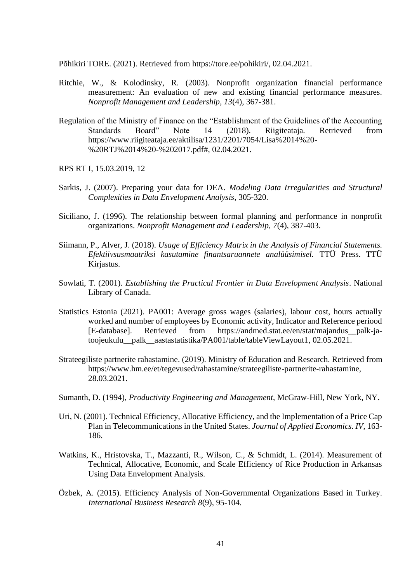Põhikiri TORE. (2021). Retrieved from [https://tore.ee/pohikiri/,](https://tore.ee/pohikiri/) 02.04.2021.

- Ritchie, W., & Kolodinsky, R. (2003). Nonprofit organization financial performance measurement: An evaluation of new and existing financial performance measures. *Nonprofit Management and Leadership, 13*(4), 367-381.
- Regulation of the Ministry of Finance on the "Establishment of the Guidelines of the Accounting Standards Board" Note 14 (2018). Riigiteataja. Retrieved from [https://www.riigiteataja.ee/aktilisa/1231/2201/7054/Lisa%2014%20-](https://www.riigiteataja.ee/aktilisa/1231/2201/7054/Lisa%2014%20-%20RTJ%2014%20-%202017.pdf) [%20RTJ%2014%20-%202017.pdf#,](https://www.riigiteataja.ee/aktilisa/1231/2201/7054/Lisa%2014%20-%20RTJ%2014%20-%202017.pdf) 02.04.2021.
- RPS RT I, 15.03.2019, 12
- Sarkis, J. (2007). Preparing your data for DEA. *Modeling Data Irregularities and Structural Complexities in Data Envelopment Analysis*, 305-320.
- Siciliano, J. (1996). The relationship between formal planning and performance in nonprofit organizations. *Nonprofit Management and Leadership, 7*(4), 387-403.
- Siimann, P., Alver, J. (2018). *Usage of Efficiency Matrix in the Analysis of Financial Statements. Efektiivsusmaatriksi kasutamine finantsaruannete analüüsimisel.* TTÜ Press. TTÜ Kirjastus.
- Sowlati, T. (2001). *Establishing the Practical Frontier in Data Envelopment Analysis*. National Library of Canada.
- Statistics Estonia (2021). PA001: Average gross wages (salaries), labour cost, hours actually worked and number of employees by Economic activity, Indicator and Reference periood [E-database]. Retrieved from [https://andmed.stat.ee/en/stat/majandus\\_\\_palk-ja](https://andmed.stat.ee/en/stat/majandus__palk-ja-toojeukulu__palk__aastastatistika/PA001/table/tableViewLayout1)[toojeukulu\\_\\_palk\\_\\_aastastatistika/PA001/table/tableViewLayout1,](https://andmed.stat.ee/en/stat/majandus__palk-ja-toojeukulu__palk__aastastatistika/PA001/table/tableViewLayout1) 02.05.2021.
- Strateegiliste partnerite rahastamine. (2019). Ministry of Education and Research. Retrieved from [https://www.hm.ee/et/tegevused/rahastamine/strateegiliste-partnerite-rahastamine,](https://www.hm.ee/et/tegevused/rahastamine/strateegiliste-partnerite-rahastamine) 28.03.2021.
- Sumanth, D. (1994), *Productivity Engineering and Management*, McGraw-Hill, New York, NY.
- Uri, N. (2001). Technical Efficiency, Allocative Efficiency, and the Implementation of a Price Cap Plan in Telecommunications in the United States. *Journal of Applied Economics. IV*, 163- 186.
- Watkins, K., Hristovska, T., Mazzanti, R., Wilson, C., & Schmidt, L. (2014). Measurement of Technical, Allocative, Economic, and Scale Efficiency of Rice Production in Arkansas Using Data Envelopment Analysis.
- Özbek, A. (2015). Efficiency Analysis of Non-Governmental Organizations Based in Turkey. *International Business Research 8*(9), 95-104.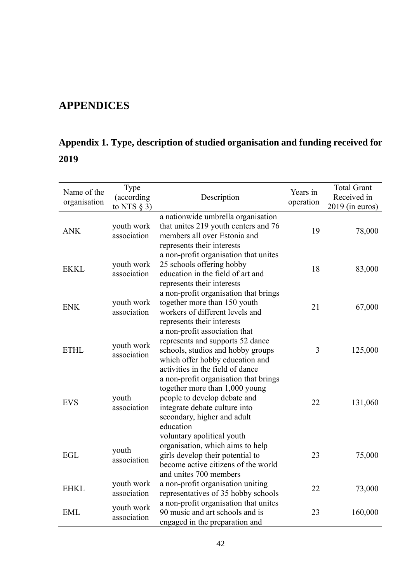# <span id="page-41-0"></span>**APPENDICES**

# <span id="page-41-1"></span>**Appendix 1. Type, description of studied organisation and funding received for 2019**

| Name of the<br>organisation | Type<br>(according<br>to NTS $\S$ 3) | Description                                                                                                                                                                          | Years in<br>operation | <b>Total Grant</b><br>Received in<br>$2019$ (in euros) |
|-----------------------------|--------------------------------------|--------------------------------------------------------------------------------------------------------------------------------------------------------------------------------------|-----------------------|--------------------------------------------------------|
| <b>ANK</b>                  | youth work<br>association            | a nationwide umbrella organisation<br>that unites 219 youth centers and 76<br>members all over Estonia and<br>represents their interests                                             | 19                    | 78,000                                                 |
| <b>EKKL</b>                 | youth work<br>association            | a non-profit organisation that unites<br>25 schools offering hobby<br>education in the field of art and<br>represents their interests                                                | 18                    | 83,000                                                 |
| <b>ENK</b>                  | youth work<br>association            | a non-profit organisation that brings<br>together more than 150 youth<br>workers of different levels and<br>represents their interests                                               | 21                    | 67,000                                                 |
| <b>ETHL</b>                 | youth work<br>association            | a non-profit association that<br>represents and supports 52 dance<br>schools, studios and hobby groups<br>which offer hobby education and<br>activities in the field of dance        | 3                     | 125,000                                                |
| <b>EVS</b>                  | youth<br>association                 | a non-profit organisation that brings<br>together more than 1,000 young<br>people to develop debate and<br>integrate debate culture into<br>secondary, higher and adult<br>education | 22                    | 131,060                                                |
| EGL                         | youth<br>association                 | voluntary apolitical youth<br>organisation, which aims to help<br>girls develop their potential to<br>become active citizens of the world<br>and unites 700 members                  | 23                    | 75,000                                                 |
| <b>EHKL</b>                 | youth work<br>association            | a non-profit organisation uniting<br>representatives of 35 hobby schools                                                                                                             | 22                    | 73,000                                                 |
| <b>EML</b>                  | youth work<br>association            | a non-profit organisation that unites<br>90 music and art schools and is<br>engaged in the preparation and                                                                           | 23                    | 160,000                                                |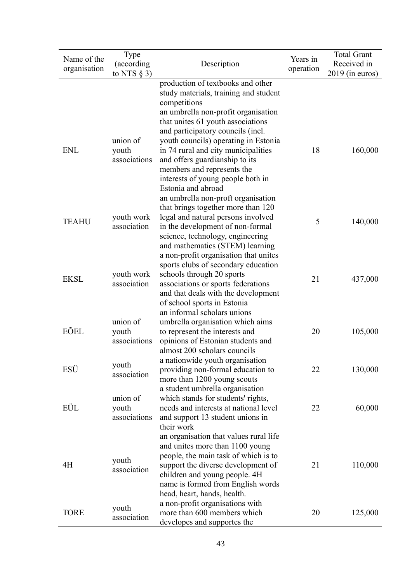| Name of the<br>organisation | Type<br>(according<br>to NTS $\S$ 3) | Description                                                                                                                                                                                                                                                  | Years in<br>operation | <b>Total Grant</b><br>Received in<br>$2019$ (in euros) |
|-----------------------------|--------------------------------------|--------------------------------------------------------------------------------------------------------------------------------------------------------------------------------------------------------------------------------------------------------------|-----------------------|--------------------------------------------------------|
|                             |                                      | production of textbooks and other<br>study materials, training and student<br>competitions<br>an umbrella non-profit organisation<br>that unites 61 youth associations                                                                                       |                       |                                                        |
| <b>ENL</b>                  | union of<br>youth<br>associations    | and participatory councils (incl.<br>youth councils) operating in Estonia<br>in 74 rural and city municipalities<br>and offers guardianship to its<br>members and represents the<br>interests of young people both in<br>Estonia and abroad                  | 18                    | 160,000                                                |
| <b>TEAHU</b>                | youth work<br>association            | an umbrella non-proft organisation<br>that brings together more than 120<br>legal and natural persons involved<br>in the development of non-formal<br>science, technology, engineering<br>and mathematics (STEM) learning                                    | 5                     | 140,000                                                |
| <b>EKSL</b>                 | youth work<br>association            | a non-profit organisation that unites<br>sports clubs of secondary education<br>schools through 20 sports<br>associations or sports federations<br>and that deals with the development<br>of school sports in Estonia                                        | 21                    | 437,000                                                |
| EÕEL                        | union of<br>youth<br>associations    | an informal scholars unions<br>umbrella organisation which aims<br>to represent the interests and<br>opinions of Estonian students and<br>almost 200 scholars councils                                                                                       | 20                    | 105,000                                                |
| ESÜ                         | youth<br>association                 | a nationwide youth organisation<br>providing non-formal education to<br>more than 1200 young scouts                                                                                                                                                          | 22                    | 130,000                                                |
| EÜL                         | union of<br>youth<br>associations    | a student umbrella organisation<br>which stands for students' rights,<br>needs and interests at national level<br>and support 13 student unions in<br>their work                                                                                             | 22                    | 60,000                                                 |
| 4H                          | youth<br>association                 | an organisation that values rural life<br>and unites more than 1100 young<br>people, the main task of which is to<br>support the diverse development of<br>children and young people. 4H<br>name is formed from English words<br>head, heart, hands, health. | 21                    | 110,000                                                |
| <b>TORE</b>                 | youth<br>association                 | a non-profit organisations with<br>more than 600 members which<br>developes and supportes the                                                                                                                                                                | 20                    | 125,000                                                |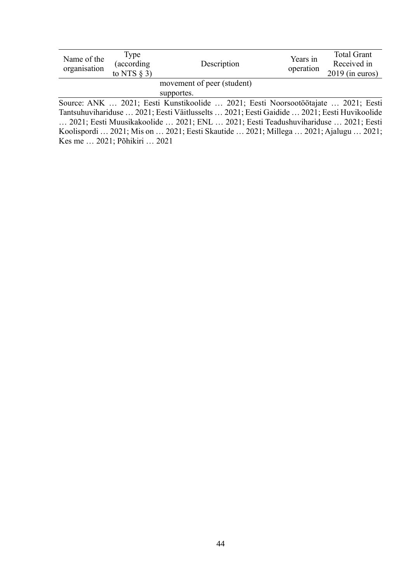| Name of the<br>organisation | Type<br>(according<br>to NTS $\S$ 3) | Description                                                                                                                                                                                                                            | Years in<br>operation | <b>Total Grant</b><br>Received in<br>$2019$ (in euros)                                                                                                                                                                                                                                                                                                                         |  |  |
|-----------------------------|--------------------------------------|----------------------------------------------------------------------------------------------------------------------------------------------------------------------------------------------------------------------------------------|-----------------------|--------------------------------------------------------------------------------------------------------------------------------------------------------------------------------------------------------------------------------------------------------------------------------------------------------------------------------------------------------------------------------|--|--|
| movement of peer (student)  |                                      |                                                                                                                                                                                                                                        |                       |                                                                                                                                                                                                                                                                                                                                                                                |  |  |
|                             |                                      | supportes.                                                                                                                                                                                                                             |                       |                                                                                                                                                                                                                                                                                                                                                                                |  |  |
|                             |                                      | Source: ANK  2021; Eesti Kunstikoolide  2021; Eesti Noorsootöötajate  2021; Eesti                                                                                                                                                      |                       |                                                                                                                                                                                                                                                                                                                                                                                |  |  |
|                             |                                      | $\mathbf{T}$ $\mathbf{1}$ $\mathbf{1}$ $\mathbf{1}$ $\mathbf{1}$ $\mathbf{1}$ $\mathbf{0}$ $\mathbf{0}$ $\mathbf{1}$ $\mathbf{1}$ $\mathbf{1}$ $\mathbf{1}$ $\mathbf{1}$ $\mathbf{1}$<br>$2021 \quad \Gamma \quad \Gamma \quad \Gamma$ |                       | $0.001$ $\overline{P}$ $\overline{Y}$ $\overline{Y}$ $\overline{Y}$ $\overline{Y}$ $\overline{Y}$ $\overline{Y}$ $\overline{Y}$ $\overline{Y}$ $\overline{Y}$ $\overline{Y}$ $\overline{Y}$ $\overline{Y}$ $\overline{Y}$ $\overline{Y}$ $\overline{Y}$ $\overline{Y}$ $\overline{Y}$ $\overline{Y}$ $\overline{Y}$ $\overline{Y}$ $\overline{Y}$ $\overline{Y}$ $\overline{Y$ |  |  |

Tantsuhuvihariduse … 2021; Eesti Väitlusselts … 2021; Eesti Gaidide … 2021; Eesti Huvikoolide … 2021; Eesti Muusikakoolide … 2021; ENL … 2021; Eesti Teadushuvihariduse … 2021; Eesti Koolispordi … 2021; Mis on … 2021; Eesti Skautide … 2021; Millega … 2021; Ajalugu … 2021; Kes me … 2021; Põhikiri … 2021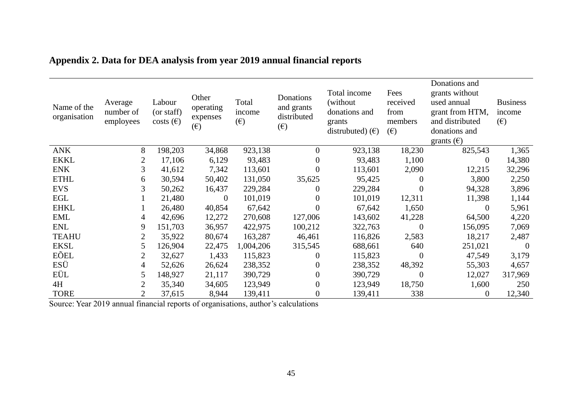| Name of the<br>organisation | Average<br>number of<br>employees | Labour<br>(or staff)<br>costs $(\epsilon)$ | Other<br>operating<br>expenses<br>$(\epsilon)$ | Total<br>income<br>$(\epsilon)$ | Donations<br>and grants<br>distributed<br>$(\epsilon)$ | Total income<br>(without)<br>donations and<br>grants<br>distrubuted) $(\epsilon)$ | Fees<br>received<br>from<br>members<br>(E) | Donations and<br>grants without<br>used annual<br>grant from HTM,<br>and distributed<br>donations and<br>grants $(\epsilon)$ | <b>Business</b><br>income<br>$(\epsilon)$ |
|-----------------------------|-----------------------------------|--------------------------------------------|------------------------------------------------|---------------------------------|--------------------------------------------------------|-----------------------------------------------------------------------------------|--------------------------------------------|------------------------------------------------------------------------------------------------------------------------------|-------------------------------------------|
| <b>ANK</b>                  | 8                                 | 198,203                                    | 34,868                                         | 923,138                         | $\overline{0}$                                         | 923,138                                                                           | 18,230                                     | 825,543                                                                                                                      | 1,365                                     |
| <b>EKKL</b>                 | $\overline{c}$                    | 17,106                                     | 6,129                                          | 93,483                          | $\overline{0}$                                         | 93,483                                                                            | 1,100                                      | $\theta$                                                                                                                     | 14,380                                    |
| <b>ENK</b>                  | 3                                 | 41,612                                     | 7,342                                          | 113,601                         | 0                                                      | 113,601                                                                           | 2,090                                      | 12,215                                                                                                                       | 32,296                                    |
| <b>ETHL</b>                 | 6                                 | 30,594                                     | 50,402                                         | 131,050                         | 35,625                                                 | 95,425                                                                            | $\Omega$                                   | 3,800                                                                                                                        | 2,250                                     |
| <b>EVS</b>                  | 3                                 | 50,262                                     | 16,437                                         | 229,284                         | $\Omega$                                               | 229,284                                                                           | $\theta$                                   | 94,328                                                                                                                       | 3,896                                     |
| EGL                         |                                   | 21,480                                     | $\overline{0}$                                 | 101,019                         | 0                                                      | 101,019                                                                           | 12,311                                     | 11,398                                                                                                                       | 1,144                                     |
| <b>EHKL</b>                 |                                   | 26,480                                     | 40,854                                         | 67,642                          | $\theta$                                               | 67,642                                                                            | 1,650                                      | $\theta$                                                                                                                     | 5,961                                     |
| <b>EML</b>                  | $\overline{4}$                    | 42,696                                     | 12,272                                         | 270,608                         | 127,006                                                | 143,602                                                                           | 41,228                                     | 64,500                                                                                                                       | 4,220                                     |
| <b>ENL</b>                  | 9                                 | 151,703                                    | 36,957                                         | 422,975                         | 100,212                                                | 322,763                                                                           | $\overline{0}$                             | 156,095                                                                                                                      | 7,069                                     |
| <b>TEAHU</b>                | $\mathbf{2}$                      | 35,922                                     | 80,674                                         | 163,287                         | 46,461                                                 | 116,826                                                                           | 2,583                                      | 18,217                                                                                                                       | 2,487                                     |
| <b>EKSL</b>                 | 5                                 | 126,904                                    | 22,475                                         | 1,004,206                       | 315,545                                                | 688,661                                                                           | 640                                        | 251,021                                                                                                                      | $\Omega$                                  |
| EÕEL                        | $\overline{2}$                    | 32,627                                     | 1,433                                          | 115,823                         | $\Omega$                                               | 115,823                                                                           | $\Omega$                                   | 47,549                                                                                                                       | 3,179                                     |
| ESÜ                         | 4                                 | 52,626                                     | 26,624                                         | 238,352                         | 0                                                      | 238,352                                                                           | 48,392                                     | 55,303                                                                                                                       | 4,657                                     |
| EÜL                         | 5                                 | 148,927                                    | 21,117                                         | 390,729                         | 0                                                      | 390,729                                                                           | $\overline{0}$                             | 12,027                                                                                                                       | 317,969                                   |
| 4H                          | 2                                 | 35,340                                     | 34,605                                         | 123,949                         | $\overline{0}$                                         | 123,949                                                                           | 18,750                                     | 1,600                                                                                                                        | 250                                       |
| <b>TORE</b>                 | $\overline{2}$                    | 37,615                                     | 8,944                                          | 139,411                         | $\boldsymbol{0}$                                       | 139,411                                                                           | 338                                        | $\overline{0}$                                                                                                               | 12,340                                    |

# **Appendix 2. Data for DEA analysis from year 2019 annual financial reports**

<span id="page-44-0"></span>Source: Year 2019 annual financial reports of organisations, author's calculations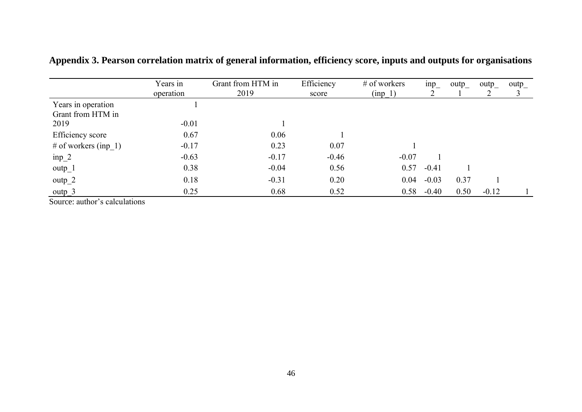|                              | Years in<br>operation | Grant from HTM in<br>2019 | Efficiency<br>score | # of workers<br>$(inp_1)$ | inp     | outp | $\text{outp}_$ | $\text{output}_{-}$<br>C |
|------------------------------|-----------------------|---------------------------|---------------------|---------------------------|---------|------|----------------|--------------------------|
| Years in operation           |                       |                           |                     |                           |         |      |                |                          |
| Grant from HTM in            |                       |                           |                     |                           |         |      |                |                          |
| 2019                         | $-0.01$               |                           |                     |                           |         |      |                |                          |
| Efficiency score             | 0.67                  | 0.06                      |                     |                           |         |      |                |                          |
| # of workers $({\rm inp}_1)$ | $-0.17$               | 0.23                      | 0.07                |                           |         |      |                |                          |
| $inp_2$                      | $-0.63$               | $-0.17$                   | $-0.46$             | $-0.07$                   |         |      |                |                          |
| $outp_1$                     | 0.38                  | $-0.04$                   | 0.56                | 0.57                      | $-0.41$ |      |                |                          |
| $outp_2$                     | 0.18                  | $-0.31$                   | 0.20                | 0.04                      | $-0.03$ | 0.37 |                |                          |
| outp $3$                     | 0.25                  | 0.68                      | 0.52                | 0.58                      | $-0.40$ | 0.50 | $-0.12$        |                          |

**Appendix 3. Pearson correlation matrix of general information, efficiency score, inputs and outputs for organisations**

<span id="page-45-0"></span>Source: author's calculations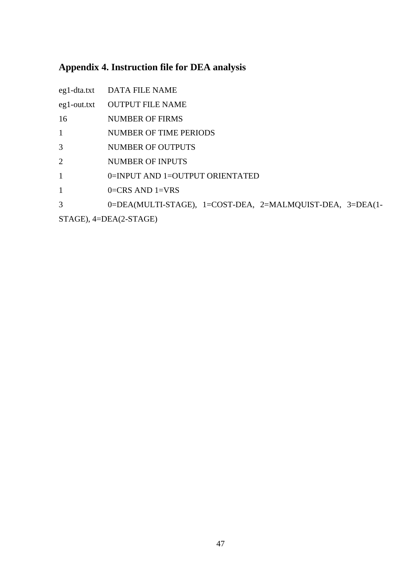# <span id="page-46-0"></span>**Appendix 4. Instruction file for DEA analysis**

|                | eg1-dta.txt DATA FILE NAME                                |
|----------------|-----------------------------------------------------------|
| $eg1$ -out.txt | <b>OUTPUT FILE NAME</b>                                   |
| 16             | <b>NUMBER OF FIRMS</b>                                    |
| $\mathbf{1}$   | NUMBER OF TIME PERIODS                                    |
| 3              | <b>NUMBER OF OUTPUTS</b>                                  |
| $\overline{2}$ | <b>NUMBER OF INPUTS</b>                                   |
| $\mathbf{1}$   | 0=INPUT AND 1=OUTPUT ORIENTATED                           |
| $\mathbf{1}$   | $0=CRS$ AND $1=VRS$                                       |
| 3              | 0=DEA(MULTI-STAGE), 1=COST-DEA, 2=MALMQUIST-DEA, 3=DEA(1- |
|                |                                                           |

STAGE), 4=DEA(2-STAGE)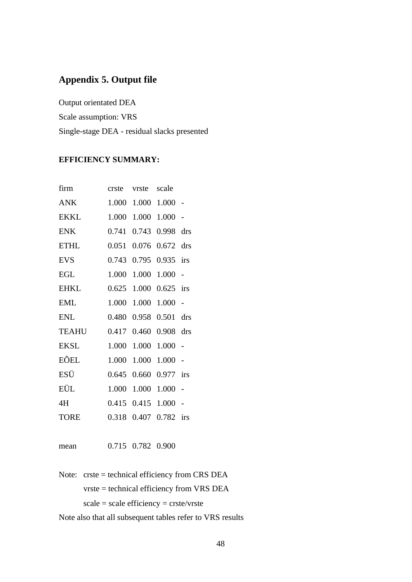# <span id="page-47-0"></span>**Appendix 5. Output file**

Output orientated DEA Scale assumption: VRS Single-stage DEA - residual slacks presented

#### **EFFICIENCY SUMMARY:**

| firm         | crste | vrste       | scale |                |
|--------------|-------|-------------|-------|----------------|
| <b>ANK</b>   | 1.000 | 1.000       | 1.000 |                |
| <b>EKKL</b>  | 1.000 | 1.000       | 1.000 | $\overline{a}$ |
| <b>ENK</b>   | 0.741 | 0.743       | 0.998 | drs            |
| <b>ETHL</b>  | 0.051 | 0.076       | 0.672 | drs            |
| <b>EVS</b>   | 0.743 | 0.795       | 0.935 | irs            |
| <b>EGL</b>   | 1.000 | 1.000       | 1.000 | $\overline{a}$ |
| <b>EHKL</b>  | 0.625 | 1.000       | 0.625 | irs            |
| <b>EML</b>   | 1.000 | 1.000       | 1.000 | $\overline{a}$ |
| <b>ENL</b>   | 0.480 | 0.958       | 0.501 | drs            |
| <b>TEAHU</b> | 0.417 | 0.460       | 0.908 | drs            |
| <b>EKSL</b>  | 1.000 | 1.000       | 1.000 |                |
| EÕEL         | 1.000 | 1.000       | 1.000 | $\overline{a}$ |
| ESÜ          | 0.645 | 0.660       | 0.977 | irs            |
| EÜL          | 1.000 | 1.000       | 1.000 | $\overline{a}$ |
| 4H           |       | 0.415 0.415 | 1.000 |                |
| <b>TORE</b>  | 0.318 | 0.407       | 0.782 | irs            |
|              |       |             |       |                |

mean 0.715 0.782 0.900

Note: crste = technical efficiency from CRS DEA vrste = technical efficiency from VRS DEA  $scale = scale efficiency = crste/vrste$ 

Note also that all subsequent tables refer to VRS results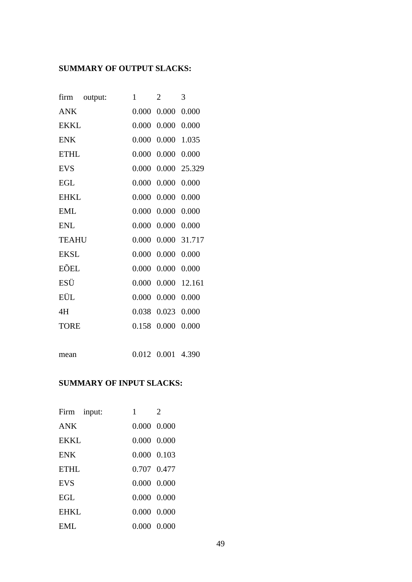# **SUMMARY OF OUTPUT SLACKS:**

| firm<br>output: | 1     | $\overline{2}$ | 3            |
|-----------------|-------|----------------|--------------|
| <b>ANK</b>      | 0.000 | 0.000          | 0.000        |
| <b>EKKL</b>     | 0.000 | 0.000          | 0.000        |
| <b>ENK</b>      | 0.000 | 0.000          | 1.035        |
| <b>ETHL</b>     | 0.000 | 0.000          | 0.000        |
| <b>EVS</b>      | 0.000 |                | 0.000 25.329 |
| <b>EGL</b>      | 0.000 | 0.000          | 0.000        |
| <b>EHKL</b>     | 0.000 | 0.000          | 0.000        |
| <b>EML</b>      | 0.000 | 0.000          | 0.000        |
| <b>ENL</b>      | 0.000 | 0.000          | 0.000        |
| <b>TEAHU</b>    | 0.000 |                | 0.000 31.717 |
| <b>EKSL</b>     | 0.000 | 0.000          | 0.000        |
| EÕEL            | 0.000 | 0.000          | 0.000        |
| ESÜ             | 0.000 |                | 0.000 12.161 |
| EÜL             | 0.000 | 0.000          | 0.000        |
| 4H              | 0.038 | 0.023          | 0.000        |
| <b>TORE</b>     | 0.158 | 0.000          | 0.000        |
|                 |       |                |              |

mean 0.012 0.001 4.390

# **SUMMARY OF INPUT SLACKS:**

| Firm input: | 1                   | $\mathfrak{D}$ |
|-------------|---------------------|----------------|
| ANK         | $0.000 \quad 0.000$ |                |
| <b>EKKL</b> | $0.000 \quad 0.000$ |                |
| <b>ENK</b>  | $0.000 \quad 0.103$ |                |
| <b>ETHL</b> | 0.707 0.477         |                |
| <b>EVS</b>  | $0.000 \quad 0.000$ |                |
| <b>EGL</b>  | 0.000 0.000         |                |
| EHKL        | $0.000 \quad 0.000$ |                |
| EML         | 0.000 0.000         |                |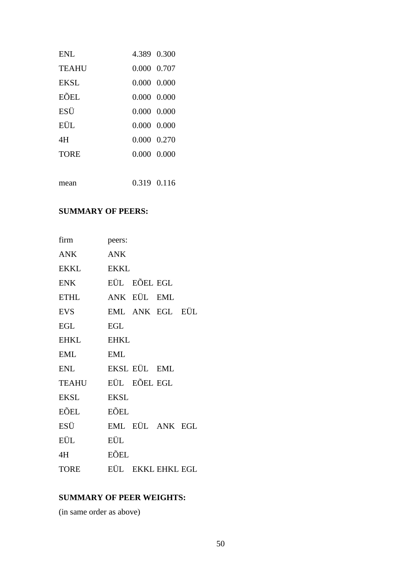| <b>ENL</b>  | 4.389 0.300         |  |
|-------------|---------------------|--|
| TEAHU       | 0.000 0.707         |  |
| <b>EKSL</b> | $0.000 \quad 0.000$ |  |
| EÕEL        | 0.000 0.000         |  |
| ESU         | $0.000 \quad 0.000$ |  |
| EÜL.        | $0.000 \quad 0.000$ |  |
| 4H          | 0.000 0.270         |  |
| <b>TORE</b> | $0.000 \quad 0.000$ |  |
|             |                     |  |
| mean        | 0.319 0.116         |  |

# **SUMMARY OF PEERS:**

| firm         | peers:      |              |                   |  |
|--------------|-------------|--------------|-------------------|--|
| ANK          | ANK         |              |                   |  |
| EKKL         | <b>EKKL</b> |              |                   |  |
| ENK          |             | EÜL EÕEL EGL |                   |  |
| <b>ETHL</b>  |             | ANK EÜL EML  |                   |  |
| EVS          |             |              | EML ANK EGL EÜL   |  |
| <b>EGL</b>   | EGL         |              |                   |  |
| <b>EHKL</b>  | <b>EHKL</b> |              |                   |  |
| <b>EML</b>   | <b>EML</b>  |              |                   |  |
| ENL          |             | EKSL EÜL EML |                   |  |
| <b>TEAHU</b> |             | EÜL EÕEL EGL |                   |  |
| <b>EKSL</b>  | <b>EKSL</b> |              |                   |  |
| EÕEL         | EÕEL        |              |                   |  |
| ESÜ          |             |              | EML EÜL ANK EGL   |  |
| EÜL          | EÜL         |              |                   |  |
| 4H           | EÕEL        |              |                   |  |
| <b>TORE</b>  |             |              | EÜL EKKL EHKL EGL |  |

# **SUMMARY OF PEER WEIGHTS:**

(in same order as above)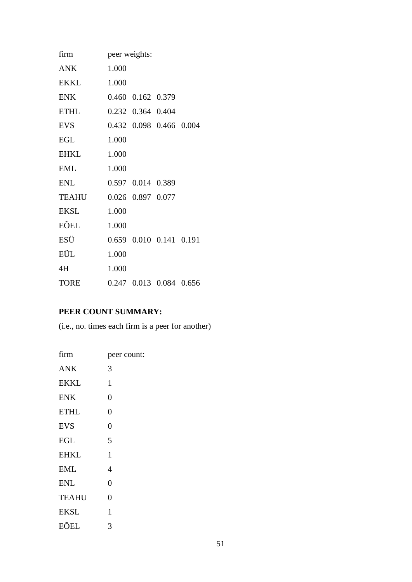| firm        | peer weights: |                   |                         |  |
|-------------|---------------|-------------------|-------------------------|--|
| ANK         | 1.000         |                   |                         |  |
| <b>EKKL</b> | 1.000         |                   |                         |  |
| <b>ENK</b>  |               | 0.460 0.162 0.379 |                         |  |
| <b>ETHL</b> |               | 0.232 0.364 0.404 |                         |  |
| <b>EVS</b>  |               |                   | 0.432 0.098 0.466 0.004 |  |
| <b>EGL</b>  | 1.000         |                   |                         |  |
| <b>EHKL</b> | 1.000         |                   |                         |  |
| <b>EML</b>  | 1.000         |                   |                         |  |
| <b>ENL</b>  |               | 0.597 0.014 0.389 |                         |  |
| TEAHU       |               | 0.026 0.897 0.077 |                         |  |
| EKSL        | 1.000         |                   |                         |  |
| EÕEL        | 1.000         |                   |                         |  |
| ESÜ         |               |                   | 0.659 0.010 0.141 0.191 |  |
| EÜL         | 1.000         |                   |                         |  |
| 4H          | 1.000         |                   |                         |  |
| <b>TORE</b> |               |                   | 0.247 0.013 0.084 0.656 |  |

# **PEER COUNT SUMMARY:**

(i.e., no. times each firm is a peer for another)

| firm         | peer count:    |
|--------------|----------------|
| <b>ANK</b>   | 3              |
| <b>EKKL</b>  | 1              |
| <b>ENK</b>   | $\overline{0}$ |
| <b>ETHL</b>  | $\overline{0}$ |
| <b>EVS</b>   | $\overline{0}$ |
| <b>EGL</b>   | 5              |
| <b>EHKL</b>  | 1              |
| <b>EML</b>   | 4              |
| <b>ENL</b>   | 0              |
| <b>TEAHU</b> | 0              |
| <b>EKSL</b>  | 1              |
| EÕEL         | 3              |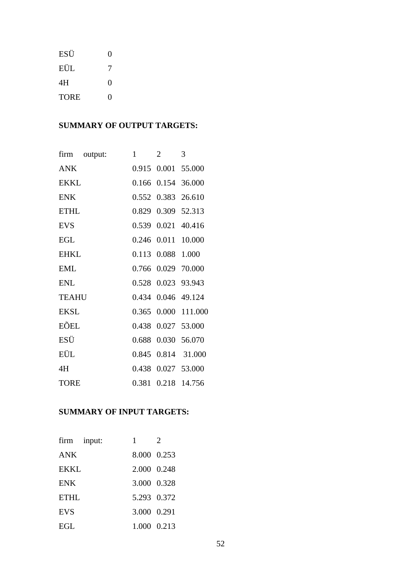| ESÜ         | $\theta$ |
|-------------|----------|
| EÜL         | 7        |
| 4H          | 0        |
| <b>TORE</b> | 0        |

# **SUMMARY OF OUTPUT TARGETS:**

| firm         | output: | 1     | $\overline{2}$    | 3                  |
|--------------|---------|-------|-------------------|--------------------|
| <b>ANK</b>   |         |       |                   | 0.915 0.001 55.000 |
| <b>EKKL</b>  |         |       |                   | 0.166 0.154 36.000 |
| <b>ENK</b>   |         |       |                   | 0.552 0.383 26.610 |
| <b>ETHL</b>  |         |       |                   | 0.829 0.309 52.313 |
| <b>EVS</b>   |         |       |                   | 0.539 0.021 40.416 |
| <b>EGL</b>   |         |       |                   | 0.246 0.011 10.000 |
| <b>EHKL</b>  |         |       | 0.113 0.088 1.000 |                    |
| <b>EML</b>   |         |       |                   | 0.766 0.029 70.000 |
| <b>ENL</b>   |         |       |                   | 0.528 0.023 93.943 |
| <b>TEAHU</b> |         |       |                   | 0.434 0.046 49.124 |
| <b>EKSL</b>  |         | 0.365 |                   | 0.000 111.000      |
| EÕEL         |         |       |                   | 0.438 0.027 53.000 |
| ESÜ          |         |       | 0.688 0.030       | 56.070             |
| EÜL          |         |       |                   | 0.845 0.814 31.000 |
| 4H           |         | 0.438 |                   | 0.027 53.000       |
| <b>TORE</b>  |         |       |                   | 0.381 0.218 14.756 |

# **SUMMARY OF INPUT TARGETS:**

| firm input: | 1           | $\mathfrak{D}$ |
|-------------|-------------|----------------|
| ANK         | 8.000 0.253 |                |
| <b>EKKL</b> | 2.000 0.248 |                |
| <b>ENK</b>  | 3.000 0.328 |                |
| <b>ETHL</b> | 5.293 0.372 |                |
| <b>EVS</b>  | 3.000 0.291 |                |
| EGL         | 1.000 0.213 |                |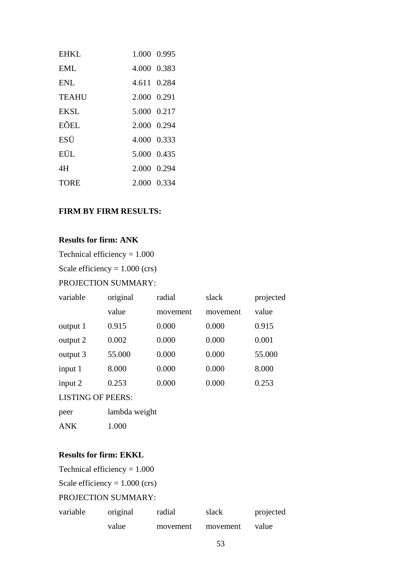| EHKL         | 1.000 0.995 |  |
|--------------|-------------|--|
| EMI.         | 4.000 0.383 |  |
| <b>ENL</b>   | 4.611 0.284 |  |
| <b>TEAHU</b> | 2.000 0.291 |  |
| <b>EKSL</b>  | 5.000 0.217 |  |
| EÕEL.        | 2.000 0.294 |  |
| ESU          | 4.000 0.333 |  |
| EÜL.         | 5.000 0.435 |  |
| 4H           | 2.000 0.294 |  |
| TORE         | 2.000 0.334 |  |

## **FIRM BY FIRM RESULTS:**

# **Results for firm: ANK**

Technical efficiency = 1.000

Scale efficiency  $= 1.000$  (crs)

#### PROJECTION SUMMARY:

| variable                 | original      | radial   | slack    | projected |  |
|--------------------------|---------------|----------|----------|-----------|--|
|                          | value         | movement | movement | value     |  |
| output 1                 | 0.915         | 0.000    | 0.000    | 0.915     |  |
| output 2                 | 0.002         | 0.000    | 0.000    | 0.001     |  |
| output 3                 | 55.000        | 0.000    | 0.000    | 55.000    |  |
| input 1                  | 8.000         | 0.000    | 0.000    | 8.000     |  |
| input 2                  | 0.253         | 0.000    | 0.000    | 0.253     |  |
| <b>LISTING OF PEERS:</b> |               |          |          |           |  |
| peer                     | lambda weight |          |          |           |  |

#### **Results for firm: EKKL**

ANK 1.000

| Technical efficiency = $1.000$   |          |          |          |           |
|----------------------------------|----------|----------|----------|-----------|
| Scale efficiency = $1.000$ (crs) |          |          |          |           |
| <b>PROJECTION SUMMARY:</b>       |          |          |          |           |
| variable                         | original | radial   | slack    | projected |
|                                  | value    | movement | movement | value     |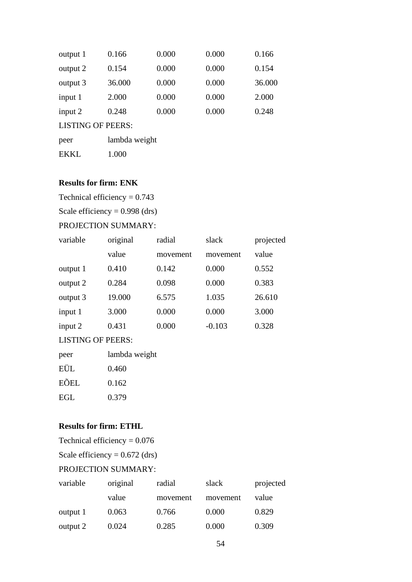| output 1  | 0.166  | 0.000 | 0.000 | 0.166  |
|-----------|--------|-------|-------|--------|
| output 2  | 0.154  | 0.000 | 0.000 | 0.154  |
| output 3  | 36.000 | 0.000 | 0.000 | 36.000 |
| input 1   | 2.000  | 0.000 | 0.000 | 2.000  |
| input $2$ | 0.248  | 0.000 | 0.000 | 0.248  |
|           |        |       |       |        |

| peer        | lambda weight |
|-------------|---------------|
| <b>EKKL</b> | 1.000         |

# **Results for firm: ENK**

Technical efficiency  $= 0.743$ 

Scale efficiency =  $0.998$  (drs)

# PROJECTION SUMMARY:

| variable | original | radial   | slack    | projected |
|----------|----------|----------|----------|-----------|
|          | value    | movement | movement | value     |
| output 1 | 0.410    | 0.142    | 0.000    | 0.552     |
| output 2 | 0.284    | 0.098    | 0.000    | 0.383     |
| output 3 | 19.000   | 6.575    | 1.035    | 26.610    |
| input 1  | 3.000    | 0.000    | 0.000    | 3.000     |
| input 2  | 0.431    | 0.000    | $-0.103$ | 0.328     |

#### LISTING OF PEERS:

| peer | lambda weight |
|------|---------------|
| EÜL  | 0.460         |
| EÕEL | 0.162         |
| EGL  | 0.379         |

## **Results for firm: ETHL**

Technical efficiency  $= 0.076$ 

Scale efficiency =  $0.672$  (drs)

# PROJECTION SUMMARY:

| variable | original | radial   | slack    | projected |
|----------|----------|----------|----------|-----------|
|          | value    | movement | movement | value     |
| output 1 | 0.063    | 0.766    | 0.000    | 0.829     |
| output 2 | 0.024    | 0.285    | 0.000    | 0.309     |
|          |          |          |          |           |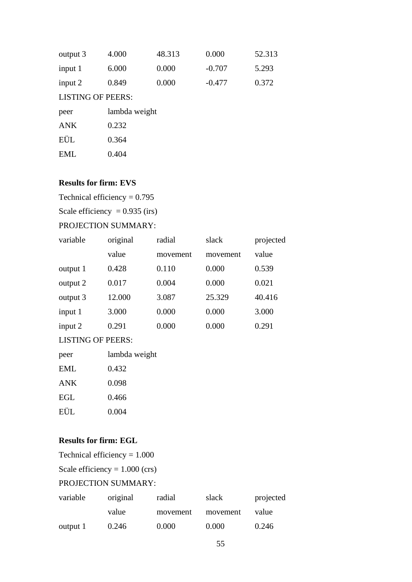| output 3                                                                                                                                                                                                                                                                                                                                     | 4.000 | 48.313 | 0.000    | 52.313 |
|----------------------------------------------------------------------------------------------------------------------------------------------------------------------------------------------------------------------------------------------------------------------------------------------------------------------------------------------|-------|--------|----------|--------|
| input 1                                                                                                                                                                                                                                                                                                                                      | 6.000 | 0.000  | $-0.707$ | 5.293  |
| input $2$                                                                                                                                                                                                                                                                                                                                    | 0.849 | 0.000  | $-0.477$ | 0.372  |
| $\tau$ , $\tau$ $\alpha$ , $\tau$ , $\tau$ , $\tau$ , $\tau$ , $\tau$ , $\tau$ , $\tau$ , $\tau$ , $\tau$ , $\tau$ , $\tau$ , $\tau$ , $\tau$ , $\tau$ , $\tau$ , $\tau$ , $\tau$ , $\tau$ , $\tau$ , $\tau$ , $\tau$ , $\tau$ , $\tau$ , $\tau$ , $\tau$ , $\tau$ , $\tau$ , $\tau$ , $\tau$ , $\tau$ , $\tau$ , $\tau$ , $\tau$ , $\tau$ , |       |        |          |        |

| peer       | lambda weight |
|------------|---------------|
| <b>ANK</b> | 0.232         |
| EÜL        | 0.364         |
| EML        | 0.404         |

#### **Results for firm: EVS**

Technical efficiency  $= 0.795$ 

Scale efficiency =  $0.935$  (irs)

# PROJECTION SUMMARY:

| variable | original | radial   | slack    | projected |
|----------|----------|----------|----------|-----------|
|          | value    | movement | movement | value     |
| output 1 | 0.428    | 0.110    | 0.000    | 0.539     |
| output 2 | 0.017    | 0.004    | 0.000    | 0.021     |
| output 3 | 12.000   | 3.087    | 25.329   | 40.416    |
| input 1  | 3.000    | 0.000    | 0.000    | 3.000     |
| input 2  | 0.291    | 0.000    | 0.000    | 0.291     |

#### LISTING OF PEERS:

| peer       | lambda weight |
|------------|---------------|
| EML        | 0.432         |
| <b>ANK</b> | 0.098         |
| EGL        | 0.466         |
| EÜL        | 0.004         |

#### **Results for firm: EGL**

Technical efficiency = 1.000

Scale efficiency = 1.000 (crs)

# PROJECTION SUMMARY:

| variable | original | radial   | slack    | projected |
|----------|----------|----------|----------|-----------|
|          | value    | movement | movement | value     |
| output 1 | 0.246    | 0.000    | 0.000    | 0.246     |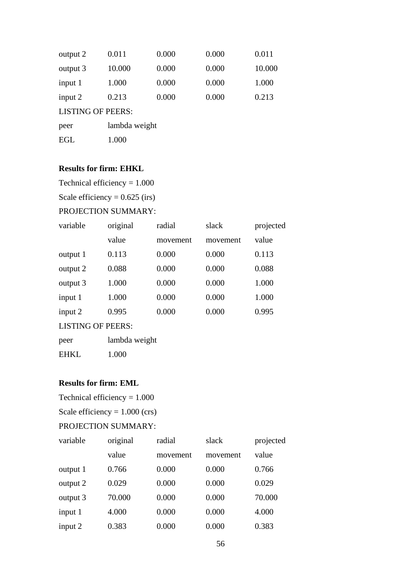| output 2  | 0.011  | 0.000 | 0.000 | 0.011  |
|-----------|--------|-------|-------|--------|
| output 3  | 10.000 | 0.000 | 0.000 | 10.000 |
| input 1   | 1.000  | 0.000 | 0.000 | 1.000  |
| input $2$ | 0.213  | 0.000 | 0.000 | 0.213  |
|           |        |       |       |        |

| peer | lambda weight |
|------|---------------|
| EGL  | 1.000         |

#### **Results for firm: EHKL**

Technical efficiency = 1.000

Scale efficiency =  $0.625$  (irs)

## PROJECTION SUMMARY:

| variable | original | radial   | slack    | projected |
|----------|----------|----------|----------|-----------|
|          | value    | movement | movement | value     |
| output 1 | 0.113    | 0.000    | 0.000    | 0.113     |
| output 2 | 0.088    | 0.000    | 0.000    | 0.088     |
| output 3 | 1.000    | 0.000    | 0.000    | 1.000     |
| input 1  | 1.000    | 0.000    | 0.000    | 1.000     |
| input 2  | 0.995    | 0.000    | 0.000    | 0.995     |
|          |          |          |          |           |

#### LISTING OF PEERS:

EHKL 1.000

#### **Results for firm: EML**

Technical efficiency  $= 1.000$ 

Scale efficiency  $= 1.000$  (crs)

#### PROJECTION SUMMARY:

| variable | original | radial   | slack    | projected |
|----------|----------|----------|----------|-----------|
|          | value    | movement | movement | value     |
| output 1 | 0.766    | 0.000    | 0.000    | 0.766     |
| output 2 | 0.029    | 0.000    | 0.000    | 0.029     |
| output 3 | 70.000   | 0.000    | 0.000    | 70.000    |
| input 1  | 4.000    | 0.000    | 0.000    | 4.000     |
| input 2  | 0.383    | 0.000    | 0.000    | 0.383     |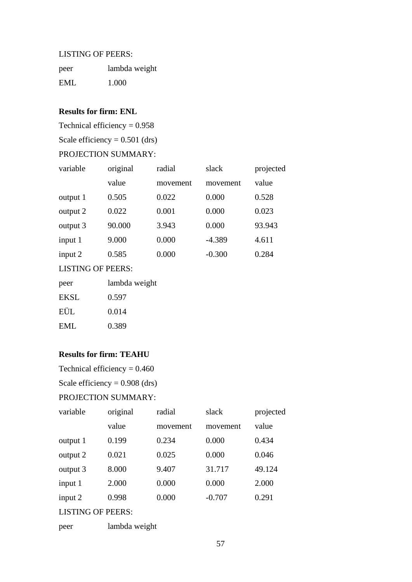| peer | lambda weight |
|------|---------------|
| EML  | 1.000         |

# **Results for firm: ENL**

Technical efficiency  $= 0.958$ 

Scale efficiency =  $0.501$  (drs)

#### PROJECTION SUMMARY:

| variable | original | radial   | slack    | projected |
|----------|----------|----------|----------|-----------|
|          | value    | movement | movement | value     |
| output 1 | 0.505    | 0.022    | 0.000    | 0.528     |
| output 2 | 0.022    | 0.001    | 0.000    | 0.023     |
| output 3 | 90.000   | 3.943    | 0.000    | 93.943    |
| input 1  | 9.000    | 0.000    | $-4.389$ | 4.611     |
| input 2  | 0.585    | 0.000    | $-0.300$ | 0.284     |

LISTING OF PEERS:

| peer | lambda weight |
|------|---------------|
| EKSL | 0.597         |
| EÜL  | 0.014         |
| EML  | 0.389         |

#### **Results for firm: TEAHU**

Technical efficiency  $= 0.460$ 

Scale efficiency =  $0.908$  (drs)

#### PROJECTION SUMMARY:

| variable                                          | original | radial   | slack    | projected |
|---------------------------------------------------|----------|----------|----------|-----------|
|                                                   | value    | movement | movement | value     |
| output 1                                          | 0.199    | 0.234    | 0.000    | 0.434     |
| output 2                                          | 0.021    | 0.025    | 0.000    | 0.046     |
| output 3                                          | 8.000    | 9.407    | 31.717   | 49.124    |
| input 1                                           | 2.000    | 0.000    | 0.000    | 2.000     |
| input 2                                           | 0.998    | 0.000    | $-0.707$ | 0.291     |
| $\mathbf{r}$ form $\mathbf{r}$ of preparations of |          |          |          |           |

#### LISTING OF PEERS:

| peer | lambda weight |  |
|------|---------------|--|
|------|---------------|--|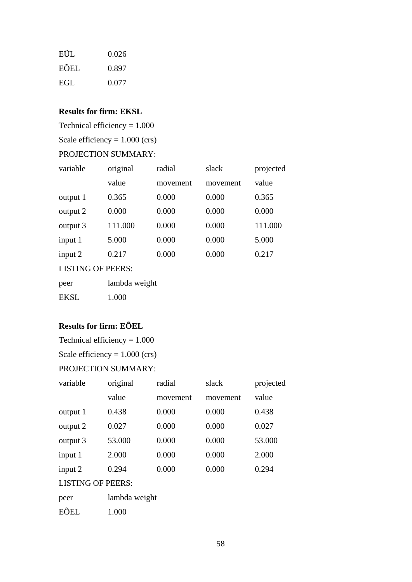| EÜL  | 0.026 |
|------|-------|
| EÕEL | 0.897 |
| EGL  | 0.077 |

# **Results for firm: EKSL**

Technical efficiency = 1.000

Scale efficiency  $= 1.000$  (crs)

#### PROJECTION SUMMARY:

| variable | original | radial   | slack    | projected |
|----------|----------|----------|----------|-----------|
|          | value    | movement | movement | value     |
| output 1 | 0.365    | 0.000    | 0.000    | 0.365     |
| output 2 | 0.000    | 0.000    | 0.000    | 0.000     |
| output 3 | 111.000  | 0.000    | 0.000    | 111.000   |
| input 1  | 5.000    | 0.000    | 0.000    | 5.000     |
| input 2  | 0.217    | 0.000    | 0.000    | 0.217     |

LISTING OF PEERS:

| peer        | lambda weight |
|-------------|---------------|
| <b>EKSL</b> | 1.000         |

# **Results for firm: EÕEL**

Technical efficiency = 1.000

Scale efficiency =  $1.000$  (crs)

# PROJECTION SUMMARY:

| variable                 | original      | radial   | slack    | projected |  |
|--------------------------|---------------|----------|----------|-----------|--|
|                          | value         | movement | movement | value     |  |
| output 1                 | 0.438         | 0.000    | 0.000    | 0.438     |  |
| output 2                 | 0.027         | 0.000    | 0.000    | 0.027     |  |
| output 3                 | 53.000        | 0.000    | 0.000    | 53.000    |  |
| input 1                  | 2.000         | 0.000    | 0.000    | 2.000     |  |
| input 2                  | 0.294         | 0.000    | 0.000    | 0.294     |  |
| <b>LISTING OF PEERS:</b> |               |          |          |           |  |
| peer                     | lambda weight |          |          |           |  |

EÕEL 1.000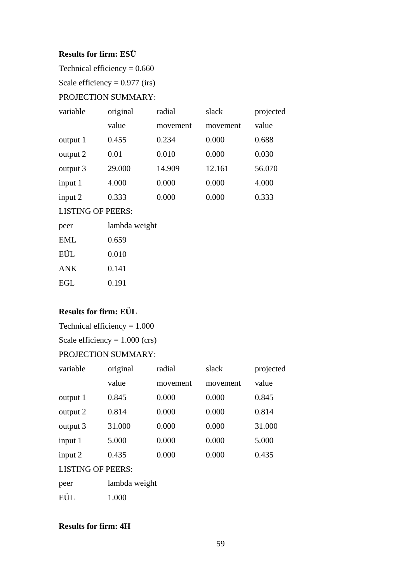#### **Results for firm: ESÜ**

Technical efficiency  $= 0.660$ 

Scale efficiency =  $0.977$  (irs)

#### PROJECTION SUMMARY:

| variable | original | radial   | slack    | projected |
|----------|----------|----------|----------|-----------|
|          | value    | movement | movement | value     |
| output 1 | 0.455    | 0.234    | 0.000    | 0.688     |
| output 2 | 0.01     | 0.010    | 0.000    | 0.030     |
| output 3 | 29.000   | 14.909   | 12.161   | 56.070    |
| input 1  | 4.000    | 0.000    | 0.000    | 4.000     |
| input 2  | 0.333    | 0.000    | 0.000    | 0.333     |

# LISTING OF PEERS:

| peer       | lambda weight |
|------------|---------------|
| EML        | 0.659         |
| EÜL        | 0.010         |
| <b>ANK</b> | 0.141         |
| EGL        | 0.191         |
|            |               |

## **Results for firm: EÜL**

Technical efficiency = 1.000

Scale efficiency  $= 1.000$  (crs)

# PROJECTION SUMMARY:

| variable | original | radial   | slack    | projected |
|----------|----------|----------|----------|-----------|
|          | value    | movement | movement | value     |
| output 1 | 0.845    | 0.000    | 0.000    | 0.845     |
| output 2 | 0.814    | 0.000    | 0.000    | 0.814     |
| output 3 | 31.000   | 0.000    | 0.000    | 31.000    |
| input 1  | 5.000    | 0.000    | 0.000    | 5.000     |
| input 2  | 0.435    | 0.000    | 0.000    | 0.435     |
|          |          |          |          |           |

#### LISTING OF PEERS:

| peer | lambda weight |
|------|---------------|
| EÜL  | 1.000         |

## **Results for firm: 4H**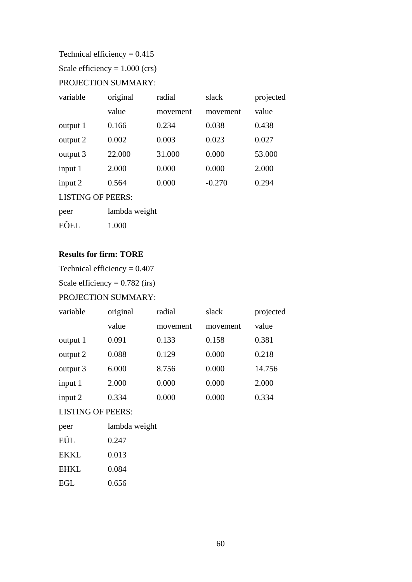Technical efficiency  $= 0.415$ 

Scale efficiency =  $1.000$  (crs)

# PROJECTION SUMMARY:

| variable                 | original      | radial   | slack    | projected |
|--------------------------|---------------|----------|----------|-----------|
|                          | value         | movement | movement | value     |
| output 1                 | 0.166         | 0.234    | 0.038    | 0.438     |
| output 2                 | 0.002         | 0.003    | 0.023    | 0.027     |
| output 3                 | 22.000        | 31.000   | 0.000    | 53.000    |
| input 1                  | 2.000         | 0.000    | 0.000    | 2.000     |
| input 2                  | 0.564         | 0.000    | $-0.270$ | 0.294     |
| <b>LISTING OF PEERS:</b> |               |          |          |           |
| peer                     | lambda weight |          |          |           |
| EÕEL                     | 1.000         |          |          |           |

#### **Results for firm: TORE**

Technical efficiency = 0.407

Scale efficiency =  $0.782$  (irs)

# PROJECTION SUMMARY:

| variable  | original | radial   | slack    | projected |
|-----------|----------|----------|----------|-----------|
|           | value    | movement | movement | value     |
| output 1  | 0.091    | 0.133    | 0.158    | 0.381     |
| output 2  | 0.088    | 0.129    | 0.000    | 0.218     |
| output 3  | 6.000    | 8.756    | 0.000    | 14.756    |
| input 1   | 2.000    | 0.000    | 0.000    | 2.000     |
| input $2$ | 0.334    | 0.000    | 0.000    | 0.334     |

#### LISTING OF PEERS:

| peer        | lambda weight |
|-------------|---------------|
| EÜL         | 0.247         |
| <b>EKKL</b> | 0.013         |
| <b>EHKL</b> | 0.084         |
| EGL         | 0.656         |